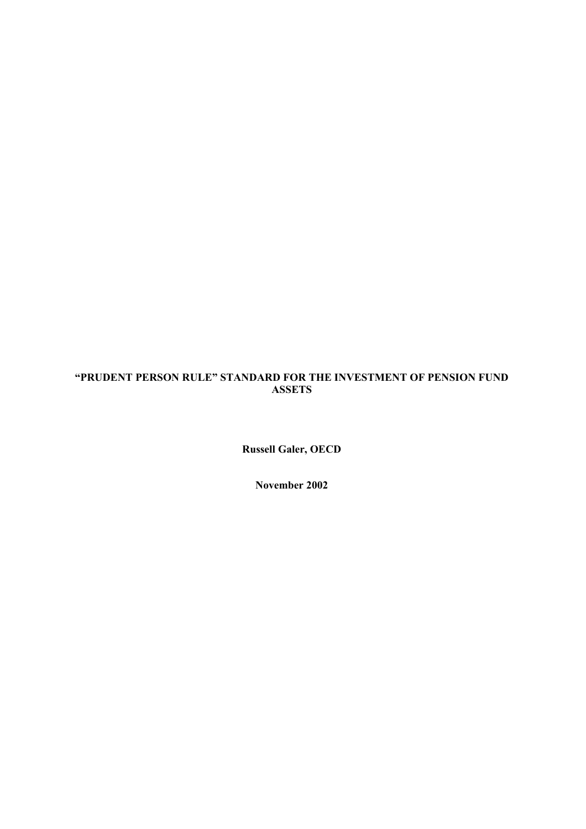# **"PRUDENT PERSON RULE" STANDARD FOR THE INVESTMENT OF PENSION FUND ASSETS**

**Russell Galer, OECD** 

**November 2002**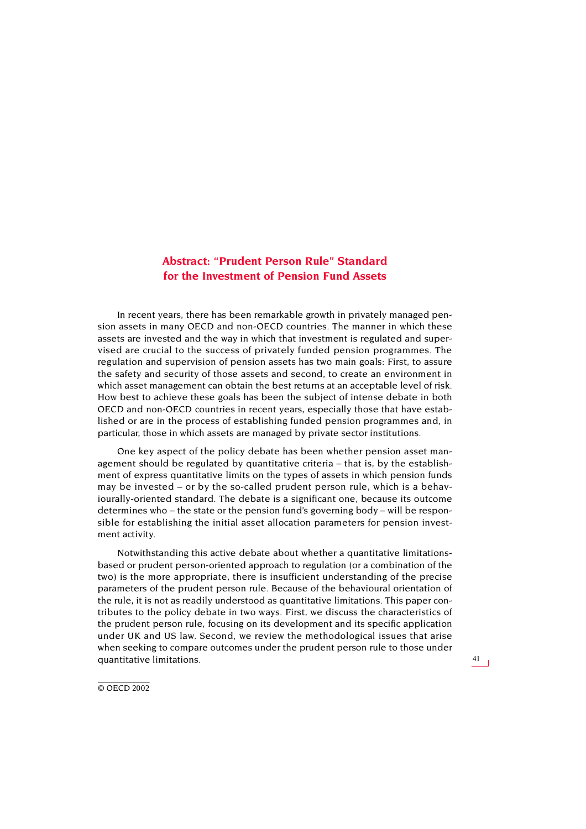## **Abstract: "Prudent Person Rule" Standard for the Investment of Pension Fund Assets**

In recent years, there has been remarkable growth in privately managed pension assets in many OECD and non-OECD countries. The manner in which these assets are invested and the way in which that investment is regulated and supervised are crucial to the success of privately funded pension programmes. The regulation and supervision of pension assets has two main goals: First, to assure the safety and security of those assets and second, to create an environment in which asset management can obtain the best returns at an acceptable level of risk. How best to achieve these goals has been the subject of intense debate in both OECD and non-OECD countries in recent years, especially those that have established or are in the process of establishing funded pension programmes and, in particular, those in which assets are managed by private sector institutions.

One key aspect of the policy debate has been whether pension asset management should be regulated by quantitative criteria – that is, by the establishment of express quantitative limits on the types of assets in which pension funds may be invested – or by the so-called prudent person rule, which is a behaviourally-oriented standard. The debate is a significant one, because its outcome determines who – the state or the pension fund's governing body – will be responsible for establishing the initial asset allocation parameters for pension investment activity.

Notwithstanding this active debate about whether a quantitative limitationsbased or prudent person-oriented approach to regulation (or a combination of the two) is the more appropriate, there is insufficient understanding of the precise parameters of the prudent person rule. Because of the behavioural orientation of the rule, it is not as readily understood as quantitative limitations. This paper contributes to the policy debate in two ways. First, we discuss the characteristics of the prudent person rule, focusing on its development and its specific application under UK and US law. Second, we review the methodological issues that arise when seeking to compare outcomes under the prudent person rule to those under quantitative limitations.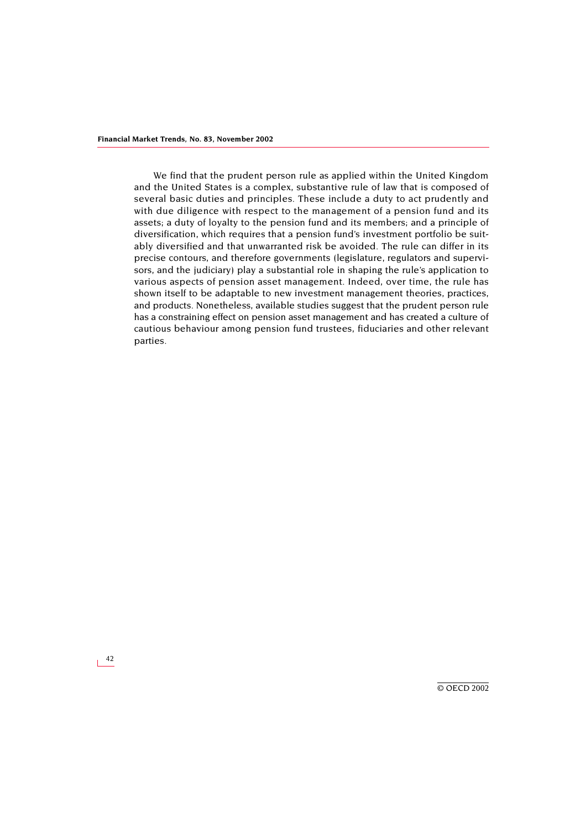We find that the prudent person rule as applied within the United Kingdom and the United States is a complex, substantive rule of law that is composed of several basic duties and principles. These include a duty to act prudently and with due diligence with respect to the management of a pension fund and its assets; a duty of loyalty to the pension fund and its members; and a principle of diversification, which requires that a pension fund's investment portfolio be suitably diversified and that unwarranted risk be avoided. The rule can differ in its precise contours, and therefore governments (legislature, regulators and supervisors, and the judiciary) play a substantial role in shaping the rule's application to various aspects of pension asset management. Indeed, over time, the rule has shown itself to be adaptable to new investment management theories, practices, and products. Nonetheless, available studies suggest that the prudent person rule has a constraining effect on pension asset management and has created a culture of cautious behaviour among pension fund trustees, fiduciaries and other relevant parties.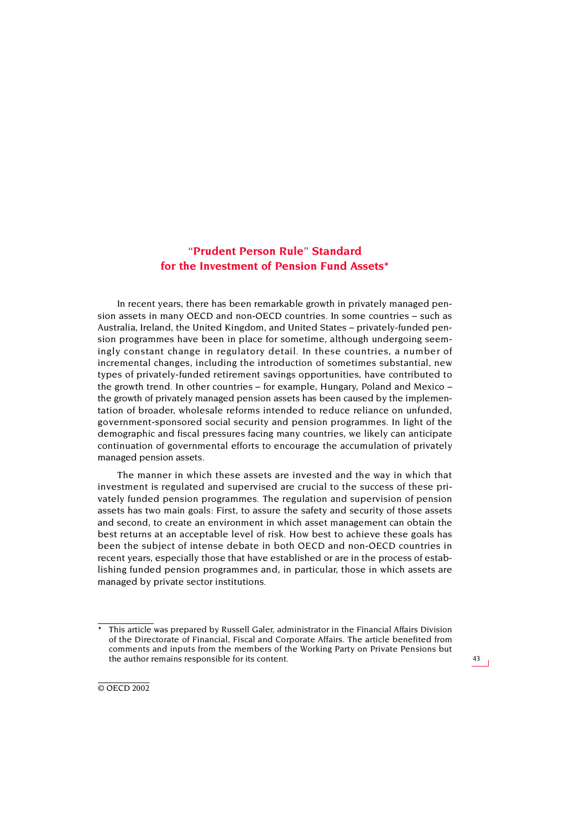# **"Prudent Person Rule" Standard for the Investment of Pension Fund Assets\***

In recent years, there has been remarkable growth in privately managed pension assets in many OECD and non-OECD countries. In some countries – such as Australia, Ireland, the United Kingdom, and United States – privately-funded pension programmes have been in place for sometime, although undergoing seemingly constant change in regulatory detail. In these countries, a number of incremental changes, including the introduction of sometimes substantial, new types of privately-funded retirement savings opportunities, have contributed to the growth trend. In other countries – for example, Hungary, Poland and Mexico – the growth of privately managed pension assets has been caused by the implementation of broader, wholesale reforms intended to reduce reliance on unfunded, government-sponsored social security and pension programmes. In light of the demographic and fiscal pressures facing many countries, we likely can anticipate continuation of governmental efforts to encourage the accumulation of privately managed pension assets.

The manner in which these assets are invested and the way in which that investment is regulated and supervised are crucial to the success of these privately funded pension programmes. The regulation and supervision of pension assets has two main goals: First, to assure the safety and security of those assets and second, to create an environment in which asset management can obtain the best returns at an acceptable level of risk. How best to achieve these goals has been the subject of intense debate in both OECD and non-OECD countries in recent years, especially those that have established or are in the process of establishing funded pension programmes and, in particular, those in which assets are managed by private sector institutions.

This article was prepared by Russell Galer, administrator in the Financial Affairs Division of the Directorate of Financial, Fiscal and Corporate Affairs. The article benefited from comments and inputs from the members of the Working Party on Private Pensions but the author remains responsible for its content.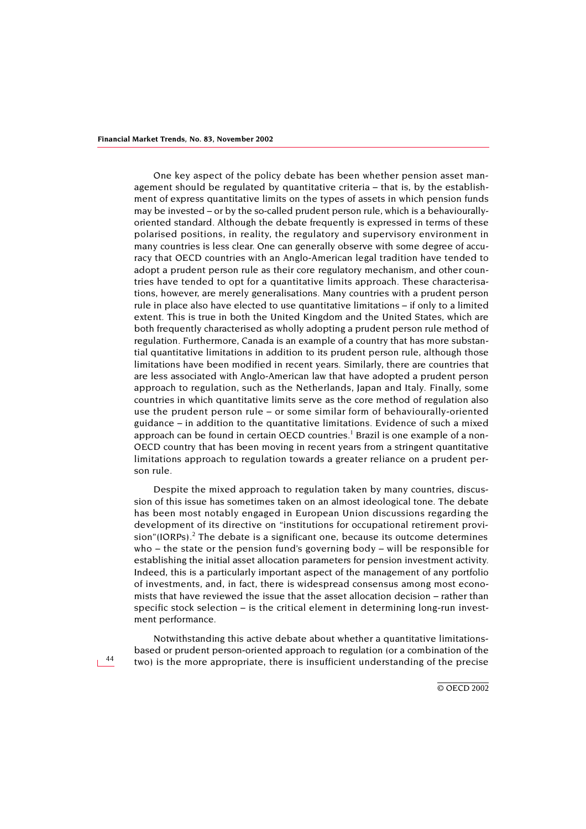One key aspect of the policy debate has been whether pension asset management should be regulated by quantitative criteria – that is, by the establishment of express quantitative limits on the types of assets in which pension funds may be invested – or by the so-called prudent person rule, which is a behaviourallyoriented standard. Although the debate frequently is expressed in terms of these polarised positions, in reality, the regulatory and supervisory environment in many countries is less clear. One can generally observe with some degree of accuracy that OECD countries with an Anglo-American legal tradition have tended to adopt a prudent person rule as their core regulatory mechanism, and other countries have tended to opt for a quantitative limits approach. These characterisations, however, are merely generalisations. Many countries with a prudent person rule in place also have elected to use quantitative limitations – if only to a limited extent. This is true in both the United Kingdom and the United States, which are both frequently characterised as wholly adopting a prudent person rule method of regulation. Furthermore, Canada is an example of a country that has more substantial quantitative limitations in addition to its prudent person rule, although those limitations have been modified in recent years. Similarly, there are countries that are less associated with Anglo-American law that have adopted a prudent person approach to regulation, such as the Netherlands, Japan and Italy. Finally, some countries in which quantitative limits serve as the core method of regulation also use the prudent person rule – or some similar form of behaviourally-oriented guidance – in addition to the quantitative limitations. Evidence of such a mixed approach can be found in certain OECD countries.<sup>1</sup> Brazil is one example of a non-OECD country that has been moving in recent years from a stringent quantitative limitations approach to regulation towards a greater reliance on a prudent person rule.

Despite the mixed approach to regulation taken by many countries, discussion of this issue has sometimes taken on an almost ideological tone. The debate has been most notably engaged in European Union discussions regarding the development of its directive on "institutions for occupational retirement provi $sion''(IORPs).<sup>2</sup>$  The debate is a significant one, because its outcome determines who – the state or the pension fund's governing body – will be responsible for establishing the initial asset allocation parameters for pension investment activity. Indeed, this is a particularly important aspect of the management of any portfolio of investments, and, in fact, there is widespread consensus among most economists that have reviewed the issue that the asset allocation decision – rather than specific stock selection – is the critical element in determining long-run investment performance.

Notwithstanding this active debate about whether a quantitative limitationsbased or prudent person-oriented approach to regulation (or a combination of the two) is the more appropriate, there is insufficient understanding of the precise

44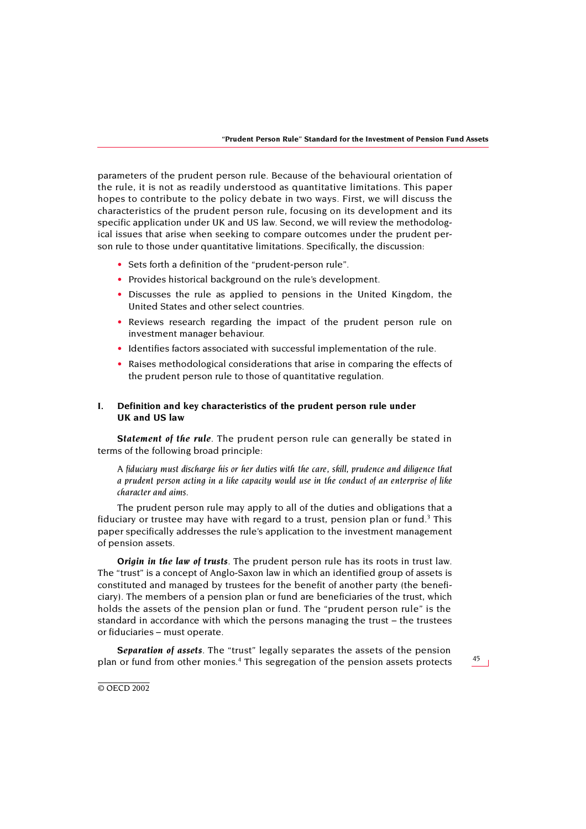parameters of the prudent person rule. Because of the behavioural orientation of the rule, it is not as readily understood as quantitative limitations. This paper hopes to contribute to the policy debate in two ways. First, we will discuss the characteristics of the prudent person rule, focusing on its development and its specific application under UK and US law. Second, we will review the methodological issues that arise when seeking to compare outcomes under the prudent person rule to those under quantitative limitations. Specifically, the discussion:

- Sets forth a definition of the "prudent-person rule".
- Provides historical background on the rule's development.
- Discusses the rule as applied to pensions in the United Kingdom, the United States and other select countries.
- Reviews research regarding the impact of the prudent person rule on investment manager behaviour.
- Identifies factors associated with successful implementation of the rule.
- Raises methodological considerations that arise in comparing the effects of the prudent person rule to those of quantitative regulation.

## **I. Definition and key characteristics of the prudent person rule under UK and US law**

*Statement of the rule*. The prudent person rule can generally be stated in terms of the following broad principle:

*A fiduciary must discharge his or her duties with the care, skill, prudence and diligence that a prudent person acting in a like capacity would use in the conduct of an enterprise of like character and aims.*

The prudent person rule may apply to all of the duties and obligations that a fiduciary or trustee may have with regard to a trust, pension plan or fund.<sup>[3](#page-29-2)</sup> This paper specifically addresses the rule's application to the investment management of pension assets.

*Origin in the law of trusts*. The prudent person rule has its roots in trust law. The "trust" is a concept of Anglo-Saxon law in which an identified group of assets is constituted and managed by trustees for the benefit of another party (the beneficiary). The members of a pension plan or fund are beneficiaries of the trust, which holds the assets of the pension plan or fund. The "prudent person rule" is the standard in accordance with which the persons managing the trust – the trustees or fiduciaries – must operate.

*Separation of assets*. The "trust" legally separates the assets of the pension plan or fund from other monies.[4](#page-29-3) This segregation of the pension assets protects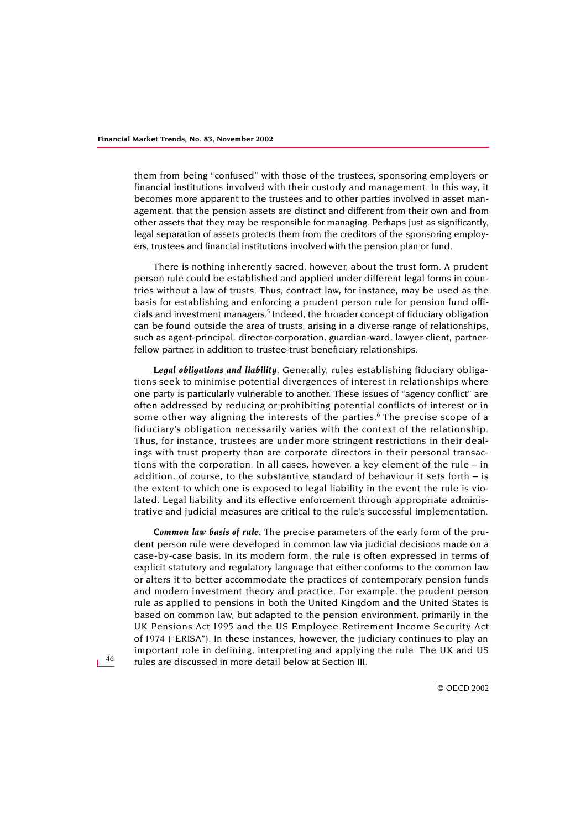them from being "confused" with those of the trustees, sponsoring employers or financial institutions involved with their custody and management. In this way, it becomes more apparent to the trustees and to other parties involved in asset management, that the pension assets are distinct and different from their own and from other assets that they may be responsible for managing. Perhaps just as significantly, legal separation of assets protects them from the creditors of the sponsoring employers, trustees and financial institutions involved with the pension plan or fund.

There is nothing inherently sacred, however, about the trust form. A prudent person rule could be established and applied under different legal forms in countries without a law of trusts. Thus, contract law, for instance, may be used as the basis for establishing and enforcing a prudent person rule for pension fund officials and investment managers.<sup>5</sup> Indeed, the broader concept of fiduciary obligation can be found outside the area of trusts, arising in a diverse range of relationships, such as agent-principal, director-corporation, guardian-ward, lawyer-client, partnerfellow partner, in addition to trustee-trust beneficiary relationships.

*Legal obligations and liability*. Generally, rules establishing fiduciary obligations seek to minimise potential divergences of interest in relationships where one party is particularly vulnerable to another. These issues of "agency conflict" are often addressed by reducing or prohibiting potential conflicts of interest or in some other way aligning the interests of the parties.<sup>[6](#page-30-0)</sup> The precise scope of a fiduciary's obligation necessarily varies with the context of the relationship. Thus, for instance, trustees are under more stringent restrictions in their dealings with trust property than are corporate directors in their personal transactions with the corporation. In all cases, however, a key element of the rule – in addition, of course, to the substantive standard of behaviour it sets forth – is the extent to which one is exposed to legal liability in the event the rule is violated. Legal liability and its effective enforcement through appropriate administrative and judicial measures are critical to the rule's successful implementation.

*Common law basis of rule.* The precise parameters of the early form of the prudent person rule were developed in common law via judicial decisions made on a case-by-case basis. In its modern form, the rule is often expressed in terms of explicit statutory and regulatory language that either conforms to the common law or alters it to better accommodate the practices of contemporary pension funds and modern investment theory and practice. For example, the prudent person rule as applied to pensions in both the United Kingdom and the United States is based on common law, but adapted to the pension environment, primarily in the UK Pensions Act 1995 and the US Employee Retirement Income Security Act of 1974 ("ERISA"). In these instances, however, the judiciary continues to play an important role in defining, interpreting and applying the rule. The UK and US rules are discussed in more detail below at Section III.

46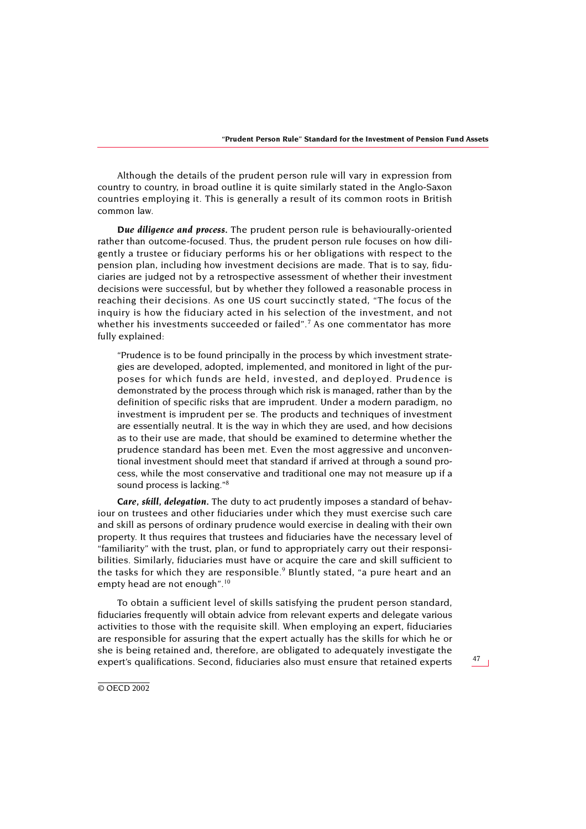Although the details of the prudent person rule will vary in expression from country to country, in broad outline it is quite similarly stated in the Anglo-Saxon countries employing it. This is generally a result of its common roots in British common law.

*Due diligence and process.* The prudent person rule is behaviourally-oriented rather than outcome-focused. Thus, the prudent person rule focuses on how diligently a trustee or fiduciary performs his or her obligations with respect to the pension plan, including how investment decisions are made. That is to say, fiduciaries are judged not by a retrospective assessment of whether their investment decisions were successful, but by whether they followed a reasonable process in reaching their decisions. As one US court succinctly stated, "The focus of the inquiry is how the fiduciary acted in his selection of the investment, and not whether his investments succeeded or failed".<sup>[7](#page-30-1)</sup> As one commentator has more fully explained:

"Prudence is to be found principally in the process by which investment strategies are developed, adopted, implemented, and monitored in light of the purposes for which funds are held, invested, and deployed. Prudence is demonstrated by the process through which risk is managed, rather than by the definition of specific risks that are imprudent. Under a modern paradigm, no investment is imprudent per se. The products and techniques of investment are essentially neutral. It is the way in which they are used, and how decisions as to their use are made, that should be examined to determine whether the prudence standard has been met. Even the most aggressive and unconventional investment should meet that standard if arrived at through a sound process, while the most conservative and traditional one may not measure up if a sound process is lacking.["8](#page-30-2)

*Care, skill, delegation.* The duty to act prudently imposes a standard of behaviour on trustees and other fiduciaries under which they must exercise such care and skill as persons of ordinary prudence would exercise in dealing with their own property. It thus requires that trustees and fiduciaries have the necessary level of "familiarity" with the trust, plan, or fund to appropriately carry out their responsibilities. Similarly, fiduciaries must have or acquire the care and skill sufficient to the tasks for which they are responsible.<sup>[9](#page-30-3)</sup> Bluntly stated, "a pure heart and an empty head are not enough".<sup>10</sup>

To obtain a sufficient level of skills satisfying the prudent person standard, fiduciaries frequently will obtain advice from relevant experts and delegate various activities to those with the requisite skill. When employing an expert, fiduciaries are responsible for assuring that the expert actually has the skills for which he or she is being retained and, therefore, are obligated to adequately investigate the expert's qualifications. Second, fiduciaries also must ensure that retained experts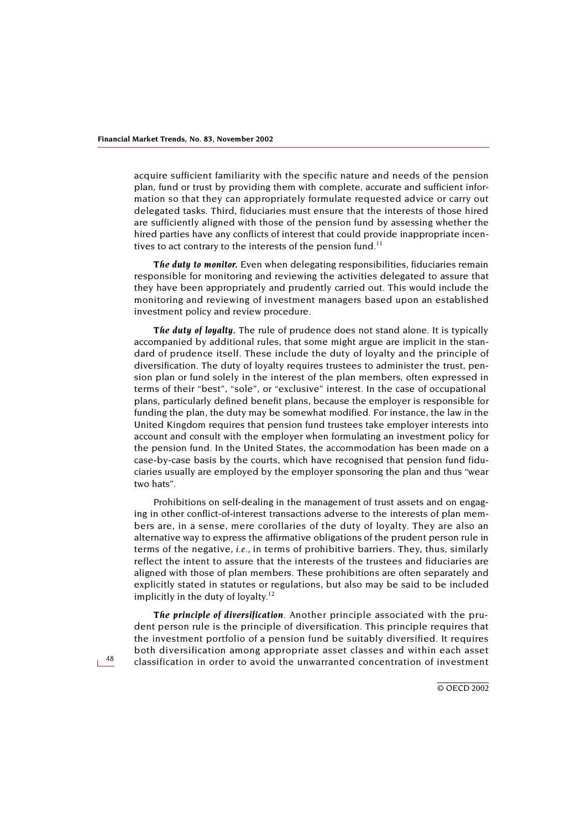acquire sufficient familiarity with the specific nature and needs of the pension plan, fund or trust by providing them with complete, accurate and sufficient information so that they can appropriately formulate requested advice or carry out delegated tasks. Third, fiduciaries must ensure that the interests of those hired are sufficiently aligned with those of the pension fund by assessing whether the hired parties have any conflicts of interest that could provide inappropriate incen-tives to act contrary to the interests of the pension fund.<sup>[11](#page-30-5)</sup>

*The duty to monitor.* Even when delegating responsibilities, fiduciaries remain responsible for monitoring and reviewing the activities delegated to assure that they have been appropriately and prudently carried out. This would include the monitoring and reviewing of investment managers based upon an established investment policy and review procedure.

*The duty of loyalty.* The rule of prudence does not stand alone. It is typically accompanied by additional rules, that some might argue are implicit in the standard of prudence itself. These include the duty of loyalty and the principle of diversification. The duty of loyalty requires trustees to administer the trust, pension plan or fund solely in the interest of the plan members, often expressed in terms of their "best", "sole", or "exclusive" interest. In the case of occupational plans, particularly defined benefit plans, because the employer is responsible for funding the plan, the duty may be somewhat modified. For instance, the law in the United Kingdom requires that pension fund trustees take employer interests into account and consult with the employer when formulating an investment policy for the pension fund. In the United States, the accommodation has been made on a case-by-case basis by the courts, which have recognised that pension fund fiduciaries usually are employed by the employer sponsoring the plan and thus "wear two hats".

Prohibitions on self-dealing in the management of trust assets and on engaging in other conflict-of-interest transactions adverse to the interests of plan members are, in a sense, mere corollaries of the duty of loyalty. They are also an alternative way to express the affirmative obligations of the prudent person rule in terms of the negative, *i.e.,* in terms of prohibitive barriers. They, thus, similarly reflect the intent to assure that the interests of the trustees and fiduciaries are aligned with those of plan members. These prohibitions are often separately and explicitly stated in statutes or regulations, but also may be said to be included implicitly in the duty of loyalty. $12$ 

*The principle of diversification*. Another principle associated with the prudent person rule is the principle of diversification. This principle requires that the investment portfolio of a pension fund be suitably diversified. It requires both diversification among appropriate asset classes and within each asset classification in order to avoid the unwarranted concentration of investment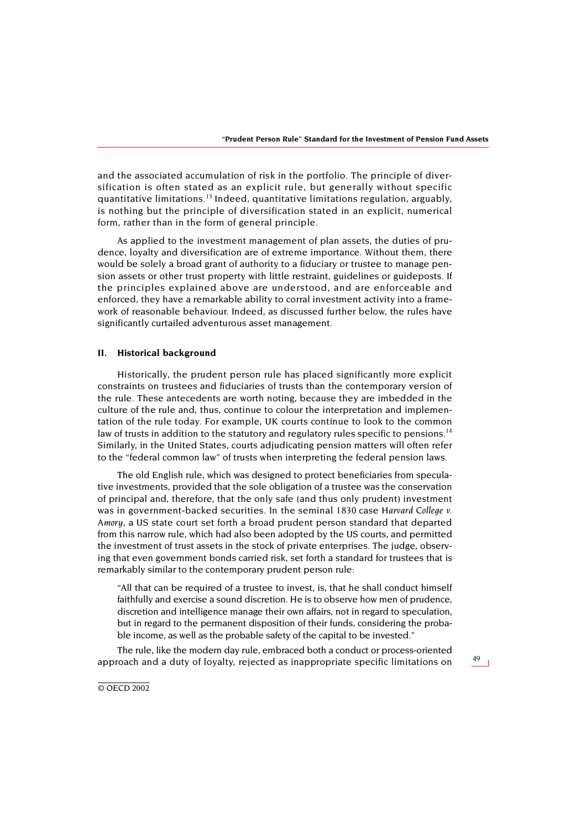and the associated accumulation of risk in the portfolio. The principle of diversification is often stated as an explicit rule, but generally without specific quantitative limitations.[13](#page-30-7) Indeed, quantitative limitations regulation, arguably, is nothing but the principle of diversification stated in an explicit, numerical form, rather than in the form of general principle.

As applied to the investment management of plan assets, the duties of prudence, loyalty and diversification are of extreme importance. Without them, there would be solely a broad grant of authority to a fiduciary or trustee to manage pension assets or other trust property with little restraint, guidelines or guideposts. If the principles explained above are understood, and are enforceable and enforced, they have a remarkable ability to corral investment activity into a framework of reasonable behaviour. Indeed, as discussed further below, the rules have significantly curtailed adventurous asset management.

### **II. Historical background**

Historically, the prudent person rule has placed significantly more explicit constraints on trustees and fiduciaries of trusts than the contemporary version of the rule. These antecedents are worth noting, because they are imbedded in the culture of the rule and, thus, continue to colour the interpretation and implementation of the rule today. For example, UK courts continue to look to the common law of trusts in addition to the statutory and regulatory rules specific to pensions.<sup>[14](#page-30-8)</sup> Similarly, in the United States, courts adjudicating pension matters will often refer to the "federal common law" of trusts when interpreting the federal pension laws.

The old English rule, which was designed to protect beneficiaries from speculative investments, provided that the sole obligation of a trustee was the conservation of principal and, therefore, that the only safe (and thus only prudent) investment was in government-backed securities. In the seminal 1830 case *Harvard College v. Amory*, a US state court set forth a broad prudent person standard that departed from this narrow rule, which had also been adopted by the US courts, and permitted the investment of trust assets in the stock of private enterprises. The judge, observing that even government bonds carried risk, set forth a standard for trustees that is remarkably similar to the contemporary prudent person rule:

"All that can be required of a trustee to invest, is, that he shall conduct himself faithfully and exercise a sound discretion. He is to observe how men of prudence, discretion and intelligence manage their own affairs, not in regard to speculation, but in regard to the permanent disposition of their funds, considering the probable income, as well as the probable safety of the capital to be invested."

The rule, like the modern day rule, embraced both a conduct or process-oriented approach and a duty of loyalty, rejected as inappropriate specific limitations on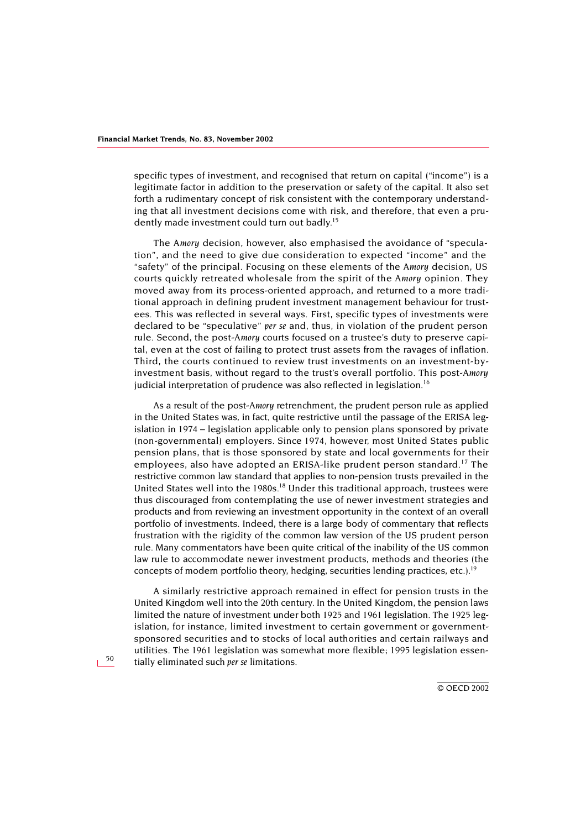specific types of investment, and recognised that return on capital ("income") is a legitimate factor in addition to the preservation or safety of the capital. It also set forth a rudimentary concept of risk consistent with the contemporary understanding that all investment decisions come with risk, and therefore, that even a prudently made investment could turn out badly.<sup>15</sup>

The *Amory* decision, however, also emphasised the avoidance of "speculation", and the need to give due consideration to expected "income" and the "safety" of the principal. Focusing on these elements of the *Amory* decision, US courts quickly retreated wholesale from the spirit of the *Amory* opinion. They moved away from its process-oriented approach, and returned to a more traditional approach in defining prudent investment management behaviour for trustees. This was reflected in several ways. First, specific types of investments were declared to be "speculative" *per se* and, thus, in violation of the prudent person rule. Second, the post-*Amory* courts focused on a trustee's duty to preserve capital, even at the cost of failing to protect trust assets from the ravages of inflation. Third, the courts continued to review trust investments on an investment-byinvestment basis, without regard to the trust's overall portfolio. This post-*Amory* judicial interpretation of prudence was also reflected in legislation.<sup>[16](#page-31-0)</sup>

As a result of the post-*Amory* retrenchment, the prudent person rule as applied in the United States was, in fact, quite restrictive until the passage of the ERISA legislation in 1974 – legislation applicable only to pension plans sponsored by private (non-governmental) employers. Since 1974, however, most United States public pension plans, that is those sponsored by state and local governments for their employees, also have adopted an ERISA-like prudent person standard.<sup>[17](#page-31-1)</sup> The restrictive common law standard that applies to non-pension trusts prevailed in the United States well into the 1980s.<sup>18</sup> Under this traditional approach, trustees were thus discouraged from contemplating the use of newer investment strategies and products and from reviewing an investment opportunity in the context of an overall portfolio of investments. Indeed, there is a large body of commentary that reflects frustration with the rigidity of the common law version of the US prudent person rule. Many commentators have been quite critical of the inability of the US common law rule to accommodate newer investment products, methods and theories (the concepts of modern portfolio theory, hedging, securities lending practices, etc.).[19](#page-31-3)

A similarly restrictive approach remained in effect for pension trusts in the United Kingdom well into the 20th century. In the United Kingdom, the pension laws limited the nature of investment under both 1925 and 1961 legislation. The 1925 legislation, for instance, limited investment to certain government or governmentsponsored securities and to stocks of local authorities and certain railways and utilities. The 1961 legislation was somewhat more flexible; 1995 legislation essentially eliminated such *per se* limitations.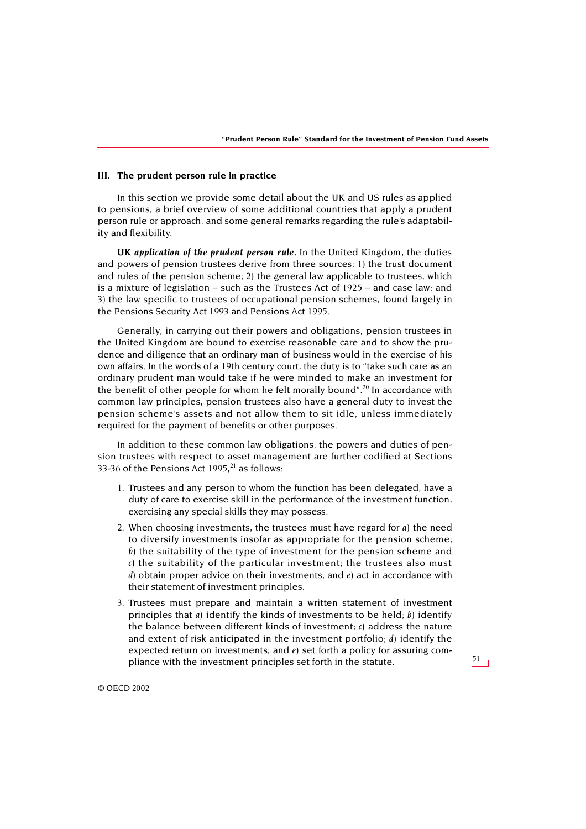### **III. The prudent person rule in practice**

In this section we provide some detail about the UK and US rules as applied to pensions, a brief overview of some additional countries that apply a prudent person rule or approach, and some general remarks regarding the rule's adaptability and flexibility.

*UK application of the prudent person rule.* In the United Kingdom, the duties and powers of pension trustees derive from three sources: 1) the trust document and rules of the pension scheme; 2) the general law applicable to trustees, which is a mixture of legislation – such as the Trustees Act of 1925 – and case law; and 3) the law specific to trustees of occupational pension schemes, found largely in the Pensions Security Act 1993 and Pensions Act 1995.

Generally, in carrying out their powers and obligations, pension trustees in the United Kingdom are bound to exercise reasonable care and to show the prudence and diligence that an ordinary man of business would in the exercise of his own affairs. In the words of a 19th century court, the duty is to "take such care as an ordinary prudent man would take if he were minded to make an investment for the benefit of other people for whom he felt morally bound".<sup>20</sup> In accordance with common law principles, pension trustees also have a general duty to invest the pension scheme's assets and not allow them to sit idle, unless immediately required for the payment of benefits or other purposes.

In addition to these common law obligations, the powers and duties of pension trustees with respect to asset management are further codified at Sections 33-36 of the Pensions Act  $1995$ ,  $21$  as follows:

- 1. Trustees and any person to whom the function has been delegated, have a duty of care to exercise skill in the performance of the investment function, exercising any special skills they may possess.
- 2. When choosing investments, the trustees must have regard for *a)* the need to diversify investments insofar as appropriate for the pension scheme; *b)* the suitability of the type of investment for the pension scheme and *c)* the suitability of the particular investment; the trustees also must *d)* obtain proper advice on their investments, and *e)* act in accordance with their statement of investment principles.
- 3. Trustees must prepare and maintain a written statement of investment principles that *a)* identify the kinds of investments to be held; *b)* identify the balance between different kinds of investment; *c)* address the nature and extent of risk anticipated in the investment portfolio; *d)* identify the expected return on investments; and *e)* set forth a policy for assuring compliance with the investment principles set forth in the statute.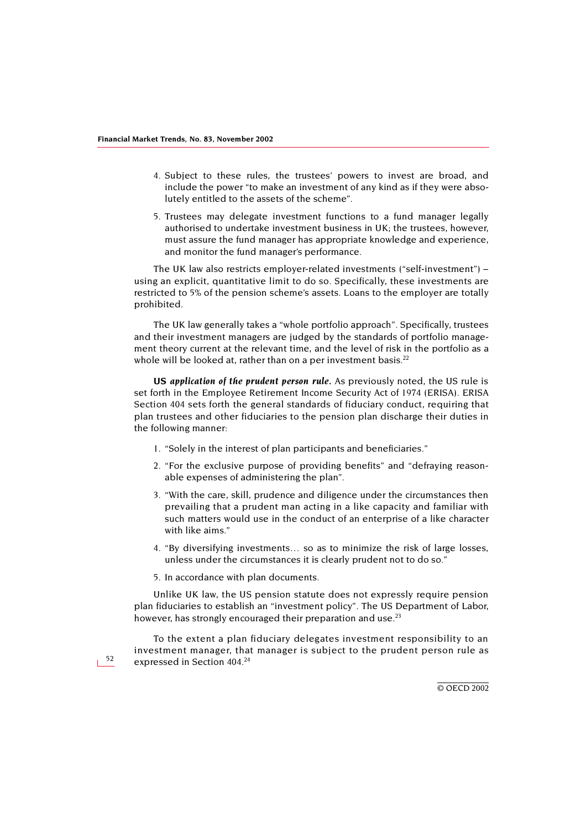- 4. Subject to these rules, the trustees' powers to invest are broad, and include the power "to make an investment of any kind as if they were absolutely entitled to the assets of the scheme".
- 5. Trustees may delegate investment functions to a fund manager legally authorised to undertake investment business in UK; the trustees, however, must assure the fund manager has appropriate knowledge and experience, and monitor the fund manager's performance.

The UK law also restricts employer-related investments ("self-investment") – using an explicit, quantitative limit to do so. Specifically, these investments are restricted to 5% of the pension scheme's assets. Loans to the employer are totally prohibited.

The UK law generally takes a "whole portfolio approach". Specifically, trustees and their investment managers are judged by the standards of portfolio management theory current at the relevant time, and the level of risk in the portfolio as a whole will be looked at, rather than on a per investment basis. $22$ 

*US application of the prudent person rule.* As previously noted, the US rule is set forth in the Employee Retirement Income Security Act of 1974 (ERISA). ERISA Section 404 sets forth the general standards of fiduciary conduct, requiring that plan trustees and other fiduciaries to the pension plan discharge their duties in the following manner:

- 1. "Solely in the interest of plan participants and beneficiaries."
- 2. "For the exclusive purpose of providing benefits" and "defraying reasonable expenses of administering the plan".
- 3. "With the care, skill, prudence and diligence under the circumstances then prevailing that a prudent man acting in a like capacity and familiar with such matters would use in the conduct of an enterprise of a like character with like aims."
- 4. "By diversifying investments… so as to minimize the risk of large losses, unless under the circumstances it is clearly prudent not to do so."
- 5. In accordance with plan documents.

Unlike UK law, the US pension statute does not expressly require pension plan fiduciaries to establish an "investment policy". The US Department of Labor, however, has strongly encouraged their preparation and use. $^{23}$ 

To the extent a plan fiduciary delegates investment responsibility to an investment manager, that manager is subject to the prudent person rule as expressed in Section 404.<sup>[24](#page-32-0)</sup>

© OECD 2002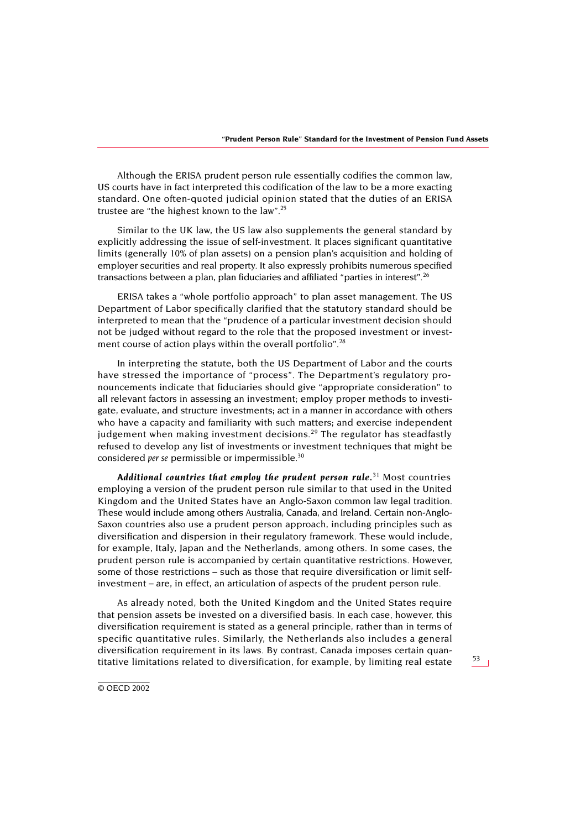Although the ERISA prudent person rule essentially codifies the common law, US courts have in fact interpreted this codification of the law to be a more exacting standard. One often-quoted judicial opinion stated that the duties of an ERISA trustee are "the highest known to the law".[25](#page-32-1)

Similar to the UK law, the US law also supplements the general standard by explicitly addressing the issue of self-investment. It places significant quantitative limits (generally 10% of plan assets) on a pension plan's acquisition and holding of employer securities and real property. It also expressly prohibits numerous specified transactions between a plan, plan fiduciaries and affiliated "parties in interest"[.26](#page-32-2)

ERISA takes a "whole portfolio approach" to plan asset management. The US Department of Labor specifically clarified that the statutory standard should be interpreted to mean that the "prudence of a particular investment decision should not be judged without regard to the role that the proposed investment or investment course of action plays within the overall portfolio".<sup>28</sup>

In interpreting the statute, both the US Department of Labor and the courts have stressed the importance of "process". The Department's regulatory pronouncements indicate that fiduciaries should give "appropriate consideration" to all relevant factors in assessing an investment; employ proper methods to investigate, evaluate, and structure investments; act in a manner in accordance with others who have a capacity and familiarity with such matters; and exercise independent judgement when making investment decisions.<sup>29</sup> The regulator has steadfastly refused to develop any list of investments or investment techniques that might be considered *per se* permissible or impermissible[.30](#page-32-5)

*Additional countries that employ the prudent person rule.*[31](#page-32-6) Most countries employing a version of the prudent person rule similar to that used in the United Kingdom and the United States have an Anglo-Saxon common law legal tradition. These would include among others Australia, Canada, and Ireland. Certain non-Anglo-Saxon countries also use a prudent person approach, including principles such as diversification and dispersion in their regulatory framework. These would include, for example, Italy, Japan and the Netherlands, among others. In some cases, the prudent person rule is accompanied by certain quantitative restrictions. However, some of those restrictions – such as those that require diversification or limit selfinvestment – are, in effect, an articulation of aspects of the prudent person rule.

As already noted, both the United Kingdom and the United States require that pension assets be invested on a diversified basis. In each case, however, this diversification requirement is stated as a general principle, rather than in terms of specific quantitative rules. Similarly, the Netherlands also includes a general diversification requirement in its laws. By contrast, Canada imposes certain quantitative limitations related to diversification, for example, by limiting real estate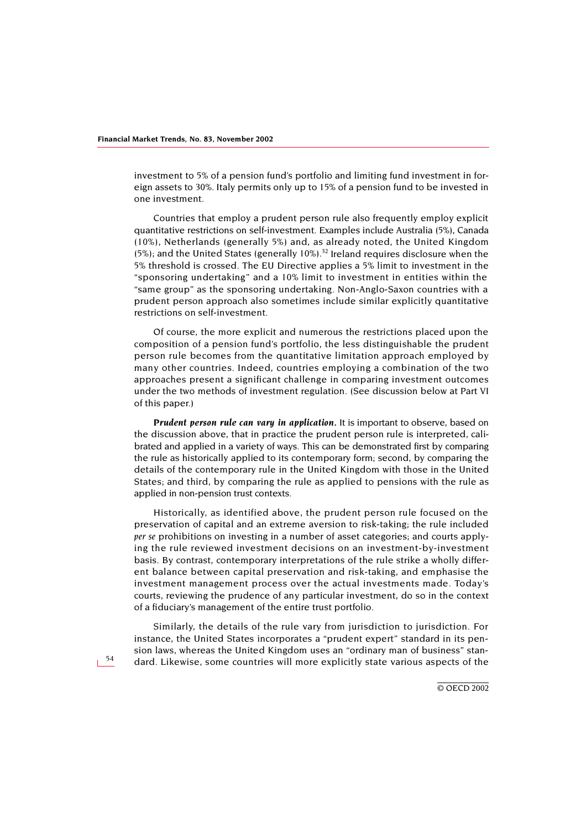investment to 5% of a pension fund's portfolio and limiting fund investment in foreign assets to 30%. Italy permits only up to 15% of a pension fund to be invested in one investment.

Countries that employ a prudent person rule also frequently employ explicit quantitative restrictions on self-investment. Examples include Australia (5%), Canada (10%), Netherlands (generally 5%) and, as already noted, the United Kingdom (5%); and the United States (generally 10%).<sup>[32](#page-33-0)</sup> Ireland requires disclosure when the 5% threshold is crossed. The EU Directive applies a 5% limit to investment in the "sponsoring undertaking" and a 10% limit to investment in entities within the "same group" as the sponsoring undertaking. Non-Anglo-Saxon countries with a prudent person approach also sometimes include similar explicitly quantitative restrictions on self-investment.

Of course, the more explicit and numerous the restrictions placed upon the composition of a pension fund's portfolio, the less distinguishable the prudent person rule becomes from the quantitative limitation approach employed by many other countries. Indeed, countries employing a combination of the two approaches present a significant challenge in comparing investment outcomes under the two methods of investment regulation. (See discussion below at Part VI of this paper.)

*Prudent person rule can vary in application.* It is important to observe, based on the discussion above, that in practice the prudent person rule is interpreted, calibrated and applied in a variety of ways. This can be demonstrated first by comparing the rule as historically applied to its contemporary form; second, by comparing the details of the contemporary rule in the United Kingdom with those in the United States; and third, by comparing the rule as applied to pensions with the rule as applied in non-pension trust contexts.

Historically, as identified above, the prudent person rule focused on the preservation of capital and an extreme aversion to risk-taking; the rule included *per se* prohibitions on investing in a number of asset categories; and courts applying the rule reviewed investment decisions on an investment-by-investment basis. By contrast, contemporary interpretations of the rule strike a wholly different balance between capital preservation and risk-taking, and emphasise the investment management process over the actual investments made. Today's courts, reviewing the prudence of any particular investment, do so in the context of a fiduciary's management of the entire trust portfolio.

Similarly, the details of the rule vary from jurisdiction to jurisdiction. For instance, the United States incorporates a "prudent expert" standard in its pension laws, whereas the United Kingdom uses an "ordinary man of business" standard. Likewise, some countries will more explicitly state various aspects of the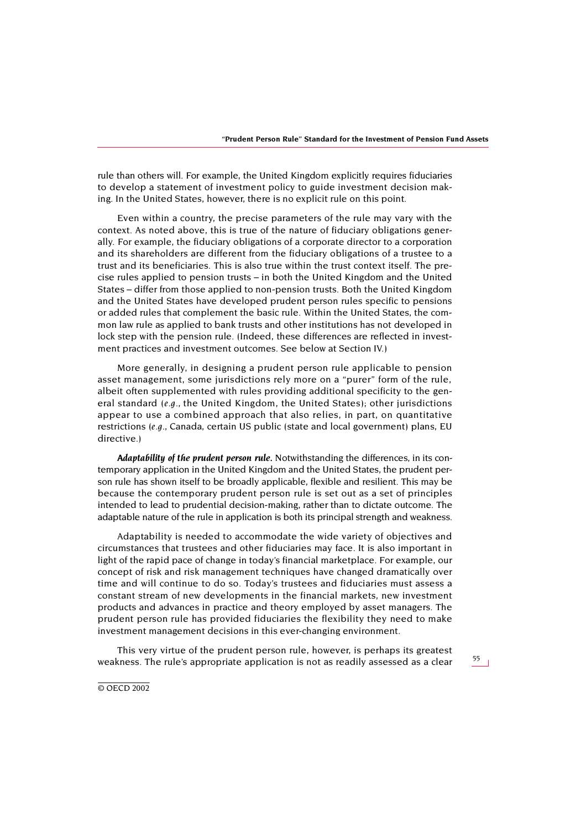rule than others will. For example, the United Kingdom explicitly requires fiduciaries to develop a statement of investment policy to guide investment decision making. In the United States, however, there is no explicit rule on this point.

Even within a country, the precise parameters of the rule may vary with the context. As noted above, this is true of the nature of fiduciary obligations generally. For example, the fiduciary obligations of a corporate director to a corporation and its shareholders are different from the fiduciary obligations of a trustee to a trust and its beneficiaries. This is also true within the trust context itself. The precise rules applied to pension trusts – in both the United Kingdom and the United States – differ from those applied to non-pension trusts. Both the United Kingdom and the United States have developed prudent person rules specific to pensions or added rules that complement the basic rule. Within the United States, the common law rule as applied to bank trusts and other institutions has not developed in lock step with the pension rule. (Indeed, these differences are reflected in investment practices and investment outcomes. See below at Section IV.)

More generally, in designing a prudent person rule applicable to pension asset management, some jurisdictions rely more on a "purer" form of the rule, albeit often supplemented with rules providing additional specificity to the general standard *(e.g.,* the United Kingdom, the United States); other jurisdictions appear to use a combined approach that also relies, in part, on quantitative restrictions *(e.g.,* Canada, certain US public (state and local government) plans, EU directive.)

*Adaptability of the prudent person rule.* Notwithstanding the differences, in its contemporary application in the United Kingdom and the United States, the prudent person rule has shown itself to be broadly applicable, flexible and resilient. This may be because the contemporary prudent person rule is set out as a set of principles intended to lead to prudential decision-making, rather than to dictate outcome. The adaptable nature of the rule in application is both its principal strength and weakness.

Adaptability is needed to accommodate the wide variety of objectives and circumstances that trustees and other fiduciaries may face. It is also important in light of the rapid pace of change in today's financial marketplace. For example, our concept of risk and risk management techniques have changed dramatically over time and will continue to do so. Today's trustees and fiduciaries must assess a constant stream of new developments in the financial markets, new investment products and advances in practice and theory employed by asset managers. The prudent person rule has provided fiduciaries the flexibility they need to make investment management decisions in this ever-changing environment.

This very virtue of the prudent person rule, however, is perhaps its greatest weakness. The rule's appropriate application is not as readily assessed as a clear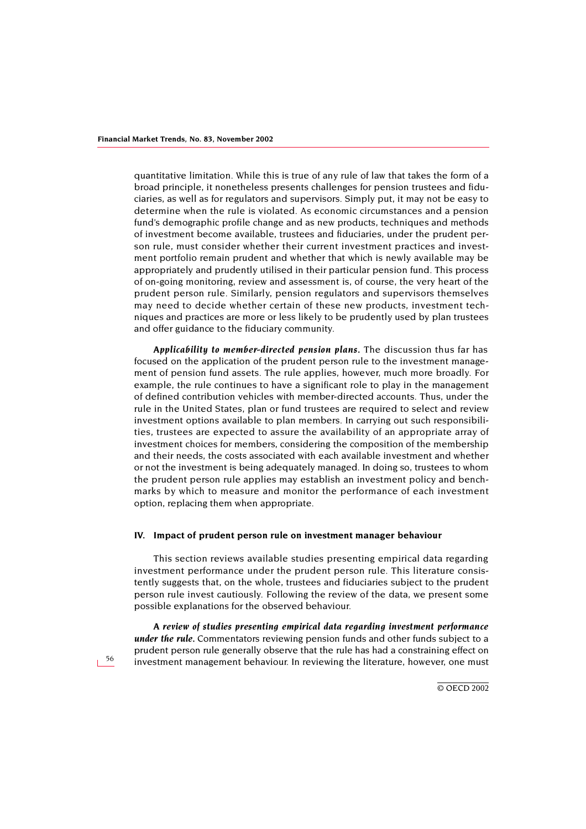quantitative limitation. While this is true of any rule of law that takes the form of a broad principle, it nonetheless presents challenges for pension trustees and fiduciaries, as well as for regulators and supervisors. Simply put, it may not be easy to determine when the rule is violated. As economic circumstances and a pension fund's demographic profile change and as new products, techniques and methods of investment become available, trustees and fiduciaries, under the prudent person rule, must consider whether their current investment practices and investment portfolio remain prudent and whether that which is newly available may be appropriately and prudently utilised in their particular pension fund. This process of on-going monitoring, review and assessment is, of course, the very heart of the prudent person rule. Similarly, pension regulators and supervisors themselves may need to decide whether certain of these new products, investment techniques and practices are more or less likely to be prudently used by plan trustees and offer guidance to the fiduciary community.

*Applicability to member-directed pension plans.* The discussion thus far has focused on the application of the prudent person rule to the investment management of pension fund assets. The rule applies, however, much more broadly. For example, the rule continues to have a significant role to play in the management of defined contribution vehicles with member-directed accounts. Thus, under the rule in the United States, plan or fund trustees are required to select and review investment options available to plan members. In carrying out such responsibilities, trustees are expected to assure the availability of an appropriate array of investment choices for members, considering the composition of the membership and their needs, the costs associated with each available investment and whether or not the investment is being adequately managed. In doing so, trustees to whom the prudent person rule applies may establish an investment policy and benchmarks by which to measure and monitor the performance of each investment option, replacing them when appropriate.

#### **IV. Impact of prudent person rule on investment manager behaviour**

This section reviews available studies presenting empirical data regarding investment performance under the prudent person rule. This literature consistently suggests that, on the whole, trustees and fiduciaries subject to the prudent person rule invest cautiously. Following the review of the data, we present some possible explanations for the observed behaviour.

*A review of studies presenting empirical data regarding investment performance under the rule.* Commentators reviewing pension funds and other funds subject to a prudent person rule generally observe that the rule has had a constraining effect on investment management behaviour. In reviewing the literature, however, one must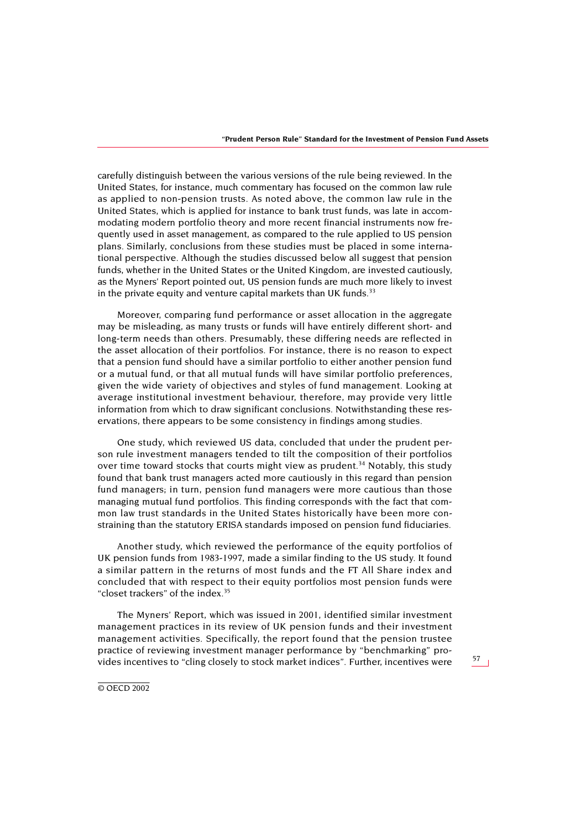carefully distinguish between the various versions of the rule being reviewed. In the United States, for instance, much commentary has focused on the common law rule as applied to non-pension trusts. As noted above, the common law rule in the United States, which is applied for instance to bank trust funds, was late in accommodating modern portfolio theory and more recent financial instruments now frequently used in asset management, as compared to the rule applied to US pension plans. Similarly, conclusions from these studies must be placed in some international perspective. Although the studies discussed below all suggest that pension funds, whether in the United States or the United Kingdom, are invested cautiously, as the Myners' Report pointed out, US pension funds are much more likely to invest in the private equity and venture capital markets than UK funds. $33$ 

Moreover, comparing fund performance or asset allocation in the aggregate may be misleading, as many trusts or funds will have entirely different short- and long-term needs than others. Presumably, these differing needs are reflected in the asset allocation of their portfolios. For instance, there is no reason to expect that a pension fund should have a similar portfolio to either another pension fund or a mutual fund, or that all mutual funds will have similar portfolio preferences, given the wide variety of objectives and styles of fund management. Looking at average institutional investment behaviour, therefore, may provide very little information from which to draw significant conclusions. Notwithstanding these reservations, there appears to be some consistency in findings among studies.

One study, which reviewed US data, concluded that under the prudent person rule investment managers tended to tilt the composition of their portfolios over time toward stocks that courts might view as prudent.<sup>34</sup> Notably, this study found that bank trust managers acted more cautiously in this regard than pension fund managers; in turn, pension fund managers were more cautious than those managing mutual fund portfolios. This finding corresponds with the fact that common law trust standards in the United States historically have been more constraining than the statutory ERISA standards imposed on pension fund fiduciaries.

Another study, which reviewed the performance of the equity portfolios of UK pension funds from 1983-1997, made a similar finding to the US study. It found a similar pattern in the returns of most funds and the FT All Share index and concluded that with respect to their equity portfolios most pension funds were "closet trackers" of the index[.35](#page-33-3)

The Myners' Report, which was issued in 2001, identified similar investment management practices in its review of UK pension funds and their investment management activities. Specifically, the report found that the pension trustee practice of reviewing investment manager performance by "benchmarking" provides incentives to "cling closely to stock market indices". Further, incentives were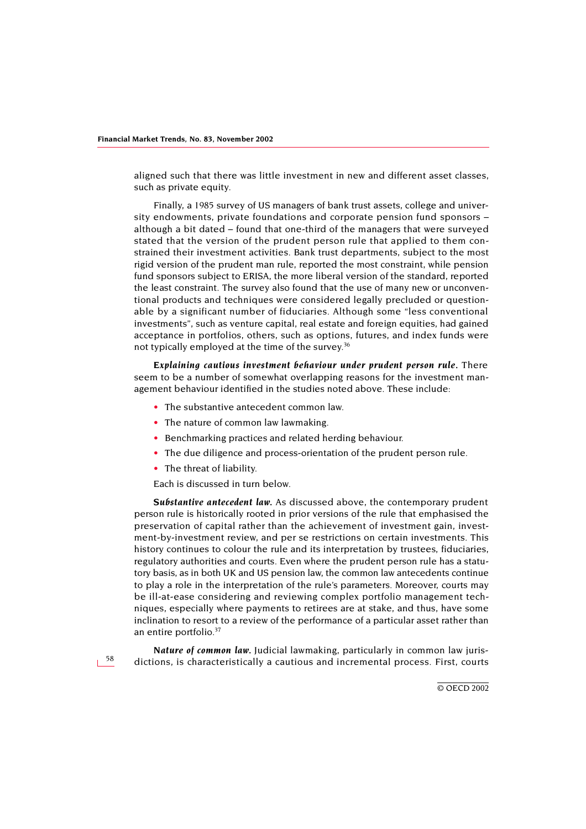aligned such that there was little investment in new and different asset classes, such as private equity.

Finally, a 1985 survey of US managers of bank trust assets, college and university endowments, private foundations and corporate pension fund sponsors – although a bit dated – found that one-third of the managers that were surveyed stated that the version of the prudent person rule that applied to them constrained their investment activities. Bank trust departments, subject to the most rigid version of the prudent man rule, reported the most constraint, while pension fund sponsors subject to ERISA, the more liberal version of the standard, reported the least constraint. The survey also found that the use of many new or unconventional products and techniques were considered legally precluded or questionable by a significant number of fiduciaries. Although some "less conventional investments", such as venture capital, real estate and foreign equities, had gained acceptance in portfolios, others, such as options, futures, and index funds were not typically employed at the time of the survey.<sup>36</sup>

*Explaining cautious investment behaviour under prudent person rule.* There seem to be a number of somewhat overlapping reasons for the investment management behaviour identified in the studies noted above. These include:

- The substantive antecedent common law.
- The nature of common law lawmaking.
- Benchmarking practices and related herding behaviour.
- The due diligence and process-orientation of the prudent person rule.
- The threat of liability.

Each is discussed in turn below.

*Substantive antecedent law.* As discussed above, the contemporary prudent person rule is historically rooted in prior versions of the rule that emphasised the preservation of capital rather than the achievement of investment gain, investment-by-investment review, and per se restrictions on certain investments. This history continues to colour the rule and its interpretation by trustees, fiduciaries, regulatory authorities and courts. Even where the prudent person rule has a statutory basis, as in both UK and US pension law, the common law antecedents continue to play a role in the interpretation of the rule's parameters. Moreover, courts may be ill-at-ease considering and reviewing complex portfolio management techniques, especially where payments to retirees are at stake, and thus, have some inclination to resort to a review of the performance of a particular asset rather than an entire portfolio[.37](#page-33-5)

*Nature of common law.* Judicial lawmaking, particularly in common law jurisdictions, is characteristically a cautious and incremental process. First, courts

© OECD 2002

58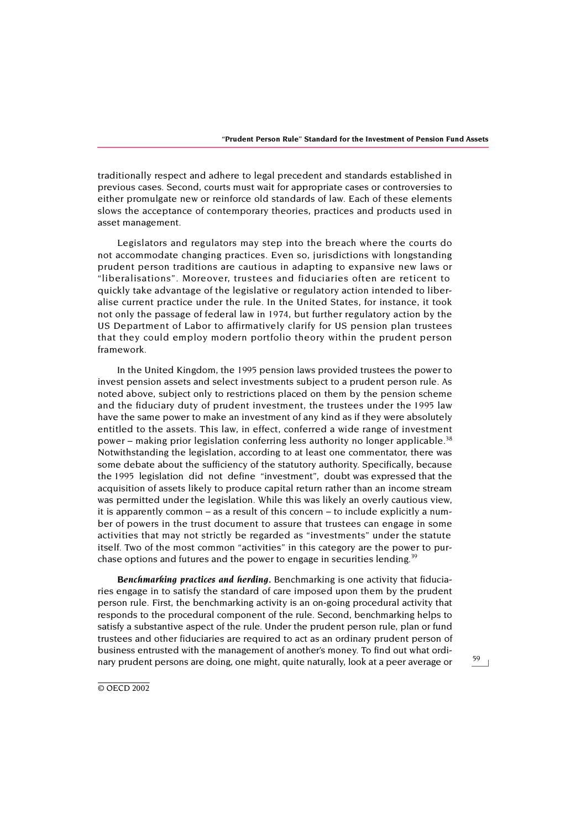traditionally respect and adhere to legal precedent and standards established in previous cases. Second, courts must wait for appropriate cases or controversies to either promulgate new or reinforce old standards of law. Each of these elements slows the acceptance of contemporary theories, practices and products used in asset management.

Legislators and regulators may step into the breach where the courts do not accommodate changing practices. Even so, jurisdictions with longstanding prudent person traditions are cautious in adapting to expansive new laws or "liberalisations". Moreover, trustees and fiduciaries often are reticent to quickly take advantage of the legislative or regulatory action intended to liberalise current practice under the rule. In the United States, for instance, it took not only the passage of federal law in 1974, but further regulatory action by the US Department of Labor to affirmatively clarify for US pension plan trustees that they could employ modern portfolio theory within the prudent person framework.

In the United Kingdom, the 1995 pension laws provided trustees the power to invest pension assets and select investments subject to a prudent person rule. As noted above, subject only to restrictions placed on them by the pension scheme and the fiduciary duty of prudent investment, the trustees under the 1995 law have the same power to make an investment of any kind as if they were absolutely entitled to the assets. This law, in effect, conferred a wide range of investment power – making prior legislation conferring less authority no longer applicable.<sup>[38](#page-33-6)</sup> Notwithstanding the legislation, according to at least one commentator, there was some debate about the sufficiency of the statutory authority. Specifically, because the 1995 legislation did not define "investment", doubt was expressed that the acquisition of assets likely to produce capital return rather than an income stream was permitted under the legislation. While this was likely an overly cautious view, it is apparently common – as a result of this concern – to include explicitly a number of powers in the trust document to assure that trustees can engage in some activities that may not strictly be regarded as "investments" under the statute itself. Two of the most common "activities" in this category are the power to purchase options and futures and the power to engage in securities lending.<sup>39</sup>

*Benchmarking practices and herding.* Benchmarking is one activity that fiduciaries engage in to satisfy the standard of care imposed upon them by the prudent person rule. First, the benchmarking activity is an on-going procedural activity that responds to the procedural component of the rule. Second, benchmarking helps to satisfy a substantive aspect of the rule. Under the prudent person rule, plan or fund trustees and other fiduciaries are required to act as an ordinary prudent person of business entrusted with the management of another's money. To find out what ordinary prudent persons are doing, one might, quite naturally, look at a peer average or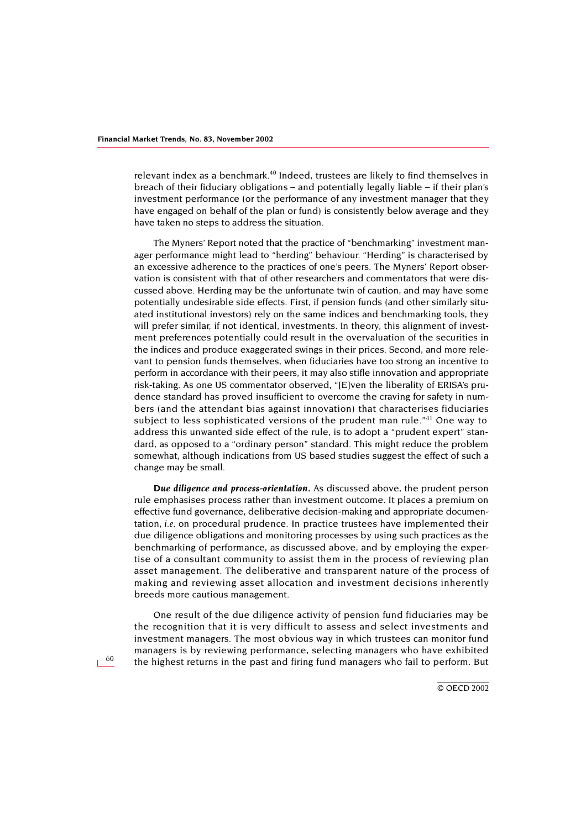relevant index as a benchmark.[40](#page-33-8) Indeed, trustees are likely to find themselves in breach of their fiduciary obligations – and potentially legally liable – if their plan's investment performance (or the performance of any investment manager that they have engaged on behalf of the plan or fund) is consistently below average and they have taken no steps to address the situation.

The Myners' Report noted that the practice of "benchmarking" investment manager performance might lead to "herding" behaviour. "Herding" is characterised by an excessive adherence to the practices of one's peers. The Myners' Report observation is consistent with that of other researchers and commentators that were discussed above. Herding may be the unfortunate twin of caution, and may have some potentially undesirable side effects. First, if pension funds (and other similarly situated institutional investors) rely on the same indices and benchmarking tools, they will prefer similar, if not identical, investments. In theory, this alignment of investment preferences potentially could result in the overvaluation of the securities in the indices and produce exaggerated swings in their prices. Second, and more relevant to pension funds themselves, when fiduciaries have too strong an incentive to perform in accordance with their peers, it may also stifle innovation and appropriate risk-taking. As one US commentator observed, "[E]ven the liberality of ERISA's prudence standard has proved insufficient to overcome the craving for safety in numbers (and the attendant bias against innovation) that characterises fiduciaries subject to less sophisticated versions of the prudent man rule."<sup>[41](#page-33-9)</sup> One way to address this unwanted side effect of the rule, is to adopt a "prudent expert" standard, as opposed to a "ordinary person" standard. This might reduce the problem somewhat, although indications from US based studies suggest the effect of such a change may be small.

*Due diligence and process-orientation.* As discussed above, the prudent person rule emphasises process rather than investment outcome. It places a premium on effective fund governance, deliberative decision-making and appropriate documentation, *i.e.* on procedural prudence. In practice trustees have implemented their due diligence obligations and monitoring processes by using such practices as the benchmarking of performance, as discussed above, and by employing the expertise of a consultant community to assist them in the process of reviewing plan asset management. The deliberative and transparent nature of the process of making and reviewing asset allocation and investment decisions inherently breeds more cautious management.

One result of the due diligence activity of pension fund fiduciaries may be the recognition that it is very difficult to assess and select investments and investment managers. The most obvious way in which trustees can monitor fund managers is by reviewing performance, selecting managers who have exhibited the highest returns in the past and firing fund managers who fail to perform. But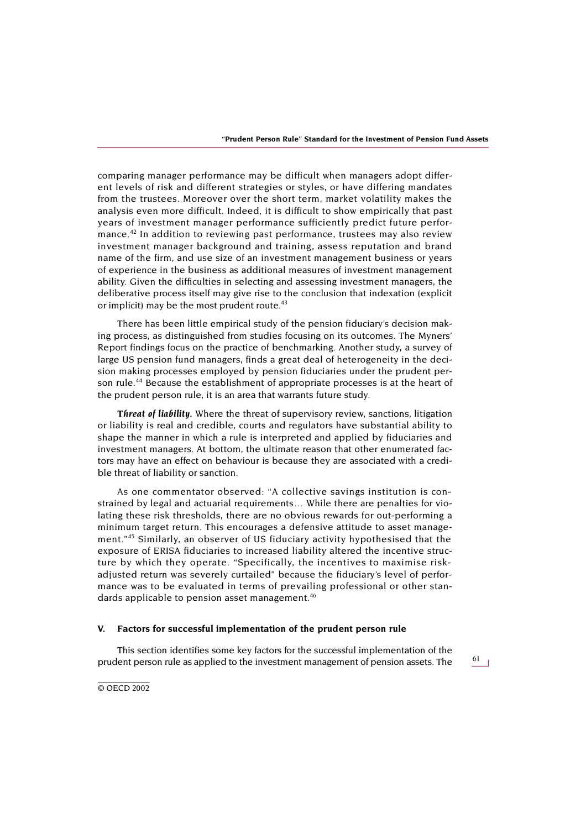comparing manager performance may be difficult when managers adopt different levels of risk and different strategies or styles, or have differing mandates from the trustees. Moreover over the short term, market volatility makes the analysis even more difficult. Indeed, it is difficult to show empirically that past years of investment manager performance sufficiently predict future perfor-mance.<sup>[42](#page-33-10)</sup> In addition to reviewing past performance, trustees may also review investment manager background and training, assess reputation and brand name of the firm, and use size of an investment management business or years of experience in the business as additional measures of investment management ability. Given the difficulties in selecting and assessing investment managers, the deliberative process itself may give rise to the conclusion that indexation (explicit or implicit) may be the most prudent route. $43$ 

There has been little empirical study of the pension fiduciary's decision making process, as distinguished from studies focusing on its outcomes. The Myners' Report findings focus on the practice of benchmarking. Another study, a survey of large US pension fund managers, finds a great deal of heterogeneity in the decision making processes employed by pension fiduciaries under the prudent person rule.[44](#page-34-1) Because the establishment of appropriate processes is at the heart of the prudent person rule, it is an area that warrants future study.

*Threat of liability.* Where the threat of supervisory review, sanctions, litigation or liability is real and credible, courts and regulators have substantial ability to shape the manner in which a rule is interpreted and applied by fiduciaries and investment managers. At bottom, the ultimate reason that other enumerated factors may have an effect on behaviour is because they are associated with a credible threat of liability or sanction.

As one commentator observed: "A collective savings institution is constrained by legal and actuarial requirements… While there are penalties for violating these risk thresholds, there are no obvious rewards for out-performing a minimum target return. This encourages a defensive attitude to asset management."[45](#page-34-2) Similarly, an observer of US fiduciary activity hypothesised that the exposure of ERISA fiduciaries to increased liability altered the incentive structure by which they operate. "Specifically, the incentives to maximise riskadjusted return was severely curtailed" because the fiduciary's level of performance was to be evaluated in terms of prevailing professional or other stan-dards applicable to pension asset management.<sup>[46](#page-34-3)</sup>

### **V. Factors for successful implementation of the prudent person rule**

This section identifies some key factors for the successful implementation of the prudent person rule as applied to the investment management of pension assets. The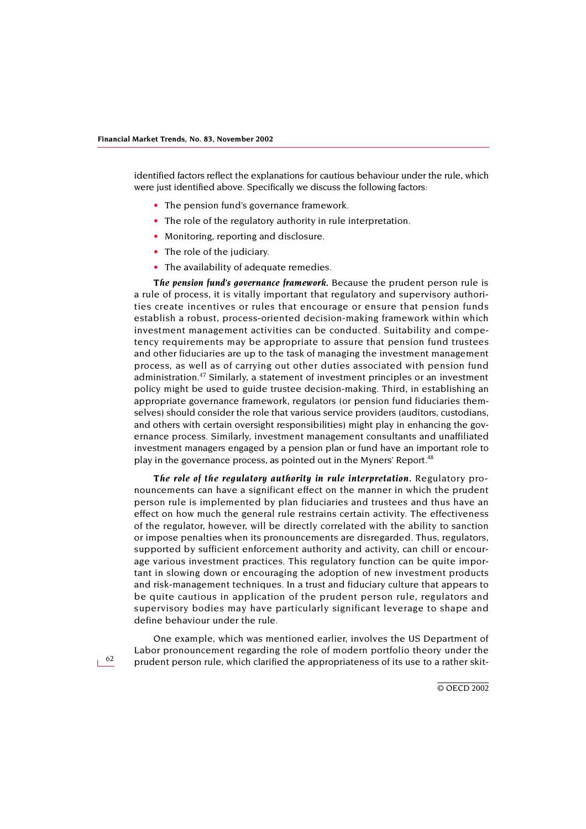identified factors reflect the explanations for cautious behaviour under the rule, which were just identified above. Specifically we discuss the following factors:

- The pension fund's governance framework.
- The role of the regulatory authority in rule interpretation.
- Monitoring, reporting and disclosure.
- The role of the judiciary.
- The availability of adequate remedies.

*The pension fund's governance framework.* Because the prudent person rule is a rule of process, it is vitally important that regulatory and supervisory authorities create incentives or rules that encourage or ensure that pension funds establish a robust, process-oriented decision-making framework within which investment management activities can be conducted. Suitability and competency requirements may be appropriate to assure that pension fund trustees and other fiduciaries are up to the task of managing the investment management process, as well as of carrying out other duties associated with pension fund administration.<sup>[47](#page-34-4)</sup> Similarly, a statement of investment principles or an investment policy might be used to guide trustee decision-making. Third, in establishing an appropriate governance framework, regulators (or pension fund fiduciaries themselves) should consider the role that various service providers (auditors, custodians, and others with certain oversight responsibilities) might play in enhancing the governance process. Similarly, investment management consultants and unaffiliated investment managers engaged by a pension plan or fund have an important role to play in the governance process, as pointed out in the Myners' Report.<sup>[48](#page-34-5)</sup>

*The role of the regulatory authority in rule interpretation.* Regulatory pronouncements can have a significant effect on the manner in which the prudent person rule is implemented by plan fiduciaries and trustees and thus have an effect on how much the general rule restrains certain activity. The effectiveness of the regulator, however, will be directly correlated with the ability to sanction or impose penalties when its pronouncements are disregarded. Thus, regulators, supported by sufficient enforcement authority and activity, can chill or encourage various investment practices. This regulatory function can be quite important in slowing down or encouraging the adoption of new investment products and risk-management techniques. In a trust and fiduciary culture that appears to be quite cautious in application of the prudent person rule, regulators and supervisory bodies may have particularly significant leverage to shape and define behaviour under the rule.

One example, which was mentioned earlier, involves the US Department of Labor pronouncement regarding the role of modern portfolio theory under the prudent person rule, which clarified the appropriateness of its use to a rather skit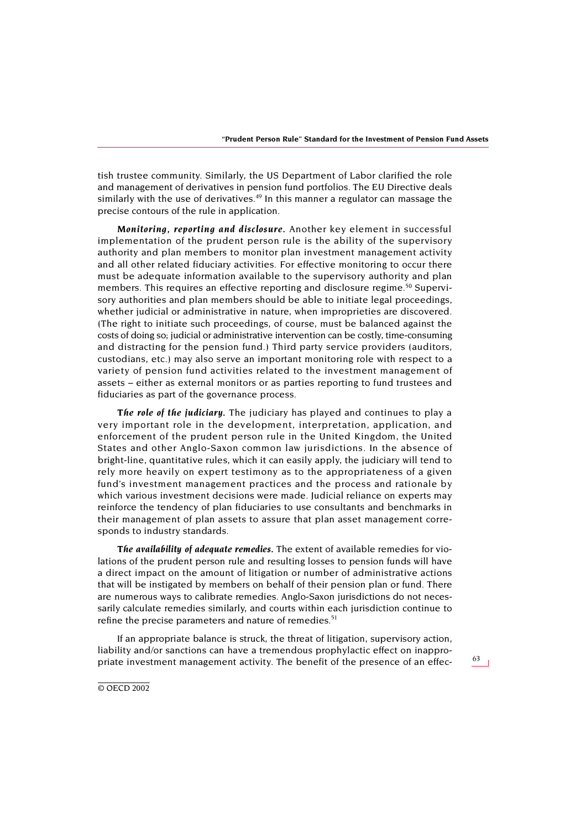tish trustee community. Similarly, the US Department of Labor clarified the role and management of derivatives in pension fund portfolios. The EU Directive deals similarly with the use of derivatives.<sup>49</sup> In this manner a regulator can massage the precise contours of the rule in application.

*Monitoring, reporting and disclosure.* Another key element in successful implementation of the prudent person rule is the ability of the supervisory authority and plan members to monitor plan investment management activity and all other related fiduciary activities. For effective monitoring to occur there must be adequate information available to the supervisory authority and plan members. This requires an effective reporting and disclosure regime.<sup>[50](#page-34-7)</sup> Supervisory authorities and plan members should be able to initiate legal proceedings, whether judicial or administrative in nature, when improprieties are discovered. (The right to initiate such proceedings, of course, must be balanced against the costs of doing so; judicial or administrative intervention can be costly, time-consuming and distracting for the pension fund.) Third party service providers (auditors, custodians, etc.) may also serve an important monitoring role with respect to a variety of pension fund activities related to the investment management of assets – either as external monitors or as parties reporting to fund trustees and fiduciaries as part of the governance process.

*The role of the judiciary.* The judiciary has played and continues to play a very important role in the development, interpretation, application, and enforcement of the prudent person rule in the United Kingdom, the United States and other Anglo-Saxon common law jurisdictions. In the absence of bright-line, quantitative rules, which it can easily apply, the judiciary will tend to rely more heavily on expert testimony as to the appropriateness of a given fund's investment management practices and the process and rationale by which various investment decisions were made. Judicial reliance on experts may reinforce the tendency of plan fiduciaries to use consultants and benchmarks in their management of plan assets to assure that plan asset management corresponds to industry standards.

*The availability of adequate remedies.* The extent of available remedies for violations of the prudent person rule and resulting losses to pension funds will have a direct impact on the amount of litigation or number of administrative actions that will be instigated by members on behalf of their pension plan or fund. There are numerous ways to calibrate remedies. Anglo-Saxon jurisdictions do not necessarily calculate remedies similarly, and courts within each jurisdiction continue to refine the precise parameters and nature of remedies.<sup>51</sup>

If an appropriate balance is struck, the threat of litigation, supervisory action, liability and/or sanctions can have a tremendous prophylactic effect on inappropriate investment management activity. The benefit of the presence of an effec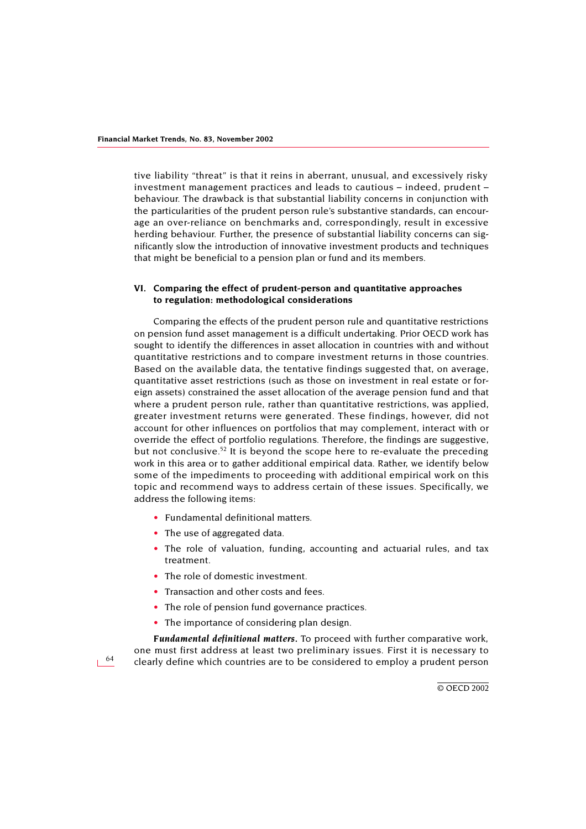tive liability "threat" is that it reins in aberrant, unusual, and excessively risky investment management practices and leads to cautious – indeed, prudent – behaviour. The drawback is that substantial liability concerns in conjunction with the particularities of the prudent person rule's substantive standards, can encourage an over-reliance on benchmarks and, correspondingly, result in excessive herding behaviour. Further, the presence of substantial liability concerns can significantly slow the introduction of innovative investment products and techniques that might be beneficial to a pension plan or fund and its members.

## **VI. Comparing the effect of prudent-person and quantitative approaches to regulation: methodological considerations**

Comparing the effects of the prudent person rule and quantitative restrictions on pension fund asset management is a difficult undertaking. Prior OECD work has sought to identify the differences in asset allocation in countries with and without quantitative restrictions and to compare investment returns in those countries. Based on the available data, the tentative findings suggested that, on average, quantitative asset restrictions (such as those on investment in real estate or foreign assets) constrained the asset allocation of the average pension fund and that where a prudent person rule, rather than quantitative restrictions, was applied, greater investment returns were generated. These findings, however, did not account for other influences on portfolios that may complement, interact with or override the effect of portfolio regulations. Therefore, the findings are suggestive, but not conclusive.<sup>[52](#page-34-9)</sup> It is beyond the scope here to re-evaluate the preceding work in this area or to gather additional empirical data. Rather, we identify below some of the impediments to proceeding with additional empirical work on this topic and recommend ways to address certain of these issues. Specifically, we address the following items:

- Fundamental definitional matters.
- The use of aggregated data.
- The role of valuation, funding, accounting and actuarial rules, and tax treatment.
- The role of domestic investment.
- Transaction and other costs and fees.
- The role of pension fund governance practices.
- The importance of considering plan design.

*Fundamental definitional matters.* To proceed with further comparative work, one must first address at least two preliminary issues. First it is necessary to clearly define which countries are to be considered to employ a prudent person

64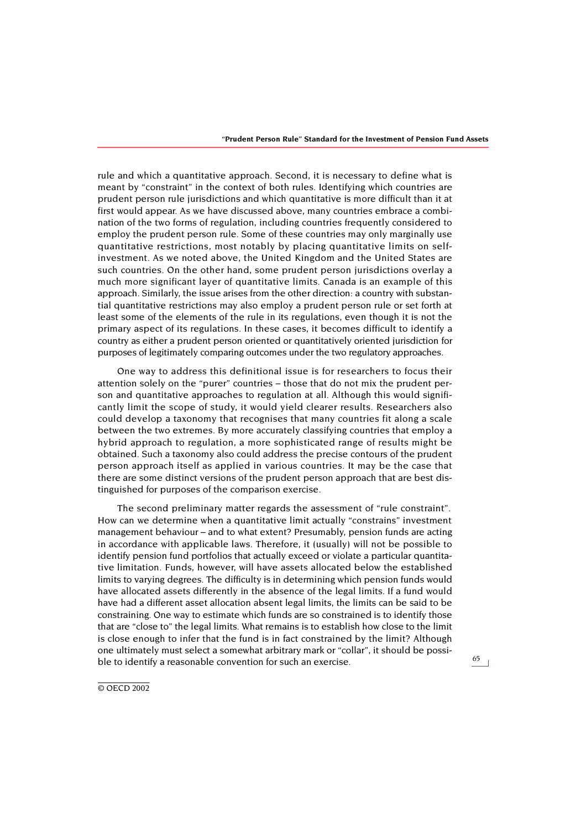rule and which a quantitative approach. Second, it is necessary to define what is meant by "constraint" in the context of both rules. Identifying which countries are prudent person rule jurisdictions and which quantitative is more difficult than it at first would appear. As we have discussed above, many countries embrace a combination of the two forms of regulation, including countries frequently considered to employ the prudent person rule. Some of these countries may only marginally use quantitative restrictions, most notably by placing quantitative limits on selfinvestment. As we noted above, the United Kingdom and the United States are such countries. On the other hand, some prudent person jurisdictions overlay a much more significant layer of quantitative limits. Canada is an example of this approach. Similarly, the issue arises from the other direction: a country with substantial quantitative restrictions may also employ a prudent person rule or set forth at least some of the elements of the rule in its regulations, even though it is not the primary aspect of its regulations. In these cases, it becomes difficult to identify a country as either a prudent person oriented or quantitatively oriented jurisdiction for purposes of legitimately comparing outcomes under the two regulatory approaches.

One way to address this definitional issue is for researchers to focus their attention solely on the "purer" countries – those that do not mix the prudent person and quantitative approaches to regulation at all. Although this would significantly limit the scope of study, it would yield clearer results. Researchers also could develop a taxonomy that recognises that many countries fit along a scale between the two extremes. By more accurately classifying countries that employ a hybrid approach to regulation, a more sophisticated range of results might be obtained. Such a taxonomy also could address the precise contours of the prudent person approach itself as applied in various countries. It may be the case that there are some distinct versions of the prudent person approach that are best distinguished for purposes of the comparison exercise.

The second preliminary matter regards the assessment of "rule constraint". How can we determine when a quantitative limit actually "constrains" investment management behaviour – and to what extent? Presumably, pension funds are acting in accordance with applicable laws. Therefore, it (usually) will not be possible to identify pension fund portfolios that actually exceed or violate a particular quantitative limitation. Funds, however, will have assets allocated below the established limits to varying degrees. The difficulty is in determining which pension funds would have allocated assets differently in the absence of the legal limits. If a fund would have had a different asset allocation absent legal limits, the limits can be said to be constraining. One way to estimate which funds are so constrained is to identify those that are "close to" the legal limits. What remains is to establish how close to the limit is close enough to infer that the fund is in fact constrained by the limit? Although one ultimately must select a somewhat arbitrary mark or "collar", it should be possible to identify a reasonable convention for such an exercise.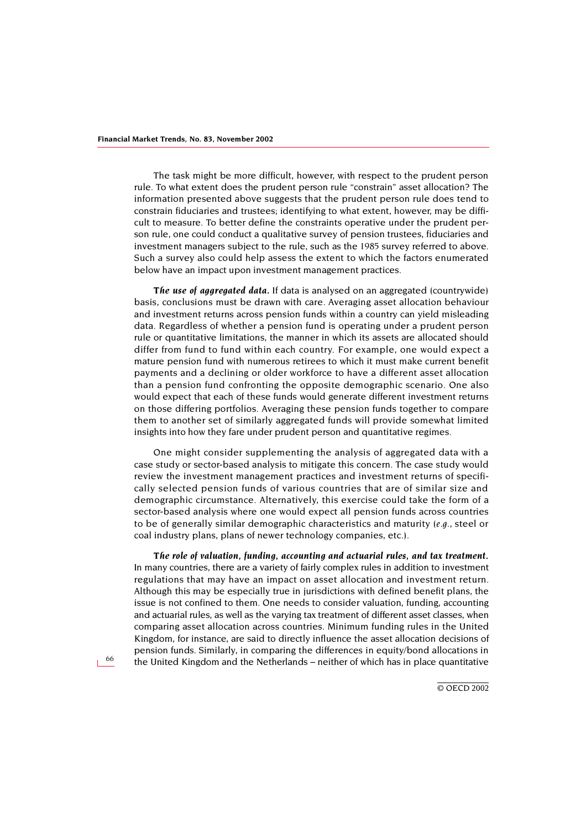The task might be more difficult, however, with respect to the prudent person rule. To what extent does the prudent person rule "constrain" asset allocation? The information presented above suggests that the prudent person rule does tend to constrain fiduciaries and trustees; identifying to what extent, however, may be difficult to measure. To better define the constraints operative under the prudent person rule, one could conduct a qualitative survey of pension trustees, fiduciaries and investment managers subject to the rule, such as the 1985 survey referred to above. Such a survey also could help assess the extent to which the factors enumerated below have an impact upon investment management practices.

*The use of aggregated data.* If data is analysed on an aggregated (countrywide) basis, conclusions must be drawn with care. Averaging asset allocation behaviour and investment returns across pension funds within a country can yield misleading data. Regardless of whether a pension fund is operating under a prudent person rule or quantitative limitations, the manner in which its assets are allocated should differ from fund to fund within each country. For example, one would expect a mature pension fund with numerous retirees to which it must make current benefit payments and a declining or older workforce to have a different asset allocation than a pension fund confronting the opposite demographic scenario. One also would expect that each of these funds would generate different investment returns on those differing portfolios. Averaging these pension funds together to compare them to another set of similarly aggregated funds will provide somewhat limited insights into how they fare under prudent person and quantitative regimes.

One might consider supplementing the analysis of aggregated data with a case study or sector-based analysis to mitigate this concern. The case study would review the investment management practices and investment returns of specifically selected pension funds of various countries that are of similar size and demographic circumstance. Alternatively, this exercise could take the form of a sector-based analysis where one would expect all pension funds across countries to be of generally similar demographic characteristics and maturity *(e.g.,* steel or coal industry plans, plans of newer technology companies, etc.).

*The role of valuation, funding, accounting and actuarial rules, and tax treatment.* In many countries, there are a variety of fairly complex rules in addition to investment regulations that may have an impact on asset allocation and investment return. Although this may be especially true in jurisdictions with defined benefit plans, the issue is not confined to them. One needs to consider valuation, funding, accounting and actuarial rules, as well as the varying tax treatment of different asset classes, when comparing asset allocation across countries. Minimum funding rules in the United Kingdom, for instance, are said to directly influence the asset allocation decisions of pension funds. Similarly, in comparing the differences in equity/bond allocations in the United Kingdom and the Netherlands – neither of which has in place quantitative

66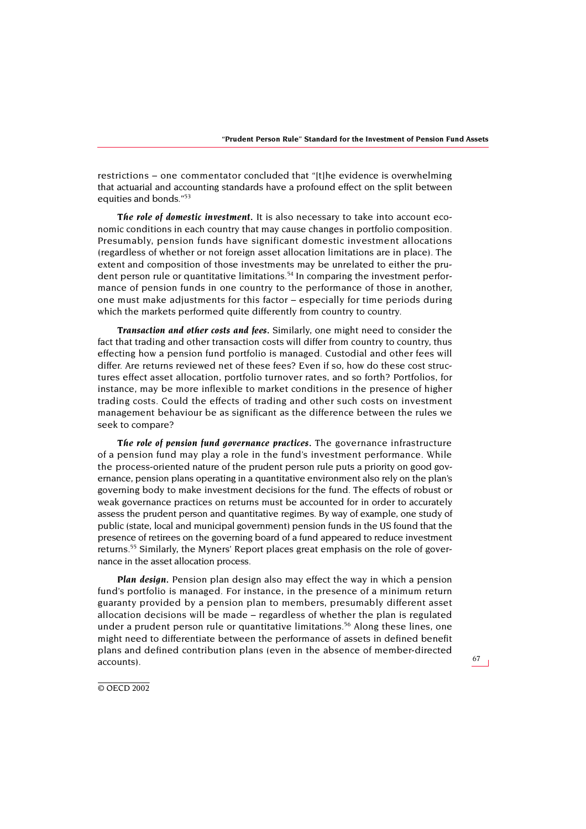restrictions – one commentator concluded that "[t]he evidence is overwhelming that actuarial and accounting standards have a profound effect on the split between equities and bonds."<sup>53</sup>

*The role of domestic investment.* It is also necessary to take into account economic conditions in each country that may cause changes in portfolio composition. Presumably, pension funds have significant domestic investment allocations (regardless of whether or not foreign asset allocation limitations are in place). The extent and composition of those investments may be unrelated to either the pru-dent person rule or quantitative limitations.<sup>[54](#page-35-0)</sup> In comparing the investment performance of pension funds in one country to the performance of those in another, one must make adjustments for this factor – especially for time periods during which the markets performed quite differently from country to country.

*Transaction and other costs and fees.* Similarly, one might need to consider the fact that trading and other transaction costs will differ from country to country, thus effecting how a pension fund portfolio is managed. Custodial and other fees will differ. Are returns reviewed net of these fees? Even if so, how do these cost structures effect asset allocation, portfolio turnover rates, and so forth? Portfolios, for instance, may be more inflexible to market conditions in the presence of higher trading costs. Could the effects of trading and other such costs on investment management behaviour be as significant as the difference between the rules we seek to compare?

*The role of pension fund governance practices.* The governance infrastructure of a pension fund may play a role in the fund's investment performance. While the process-oriented nature of the prudent person rule puts a priority on good governance, pension plans operating in a quantitative environment also rely on the plan's governing body to make investment decisions for the fund. The effects of robust or weak governance practices on returns must be accounted for in order to accurately assess the prudent person and quantitative regimes. By way of example, one study of public (state, local and municipal government) pension funds in the US found that the presence of retirees on the governing board of a fund appeared to reduce investment returns.<sup>55</sup> Similarly, the Myners' Report places great emphasis on the role of governance in the asset allocation process.

*Plan design.* Pension plan design also may effect the way in which a pension fund's portfolio is managed. For instance, in the presence of a minimum return guaranty provided by a pension plan to members, presumably different asset allocation decisions will be made – regardless of whether the plan is regulated under a prudent person rule or quantitative limitations.<sup>56</sup> Along these lines, one might need to differentiate between the performance of assets in defined benefit plans and defined contribution plans (even in the absence of member-directed accounts).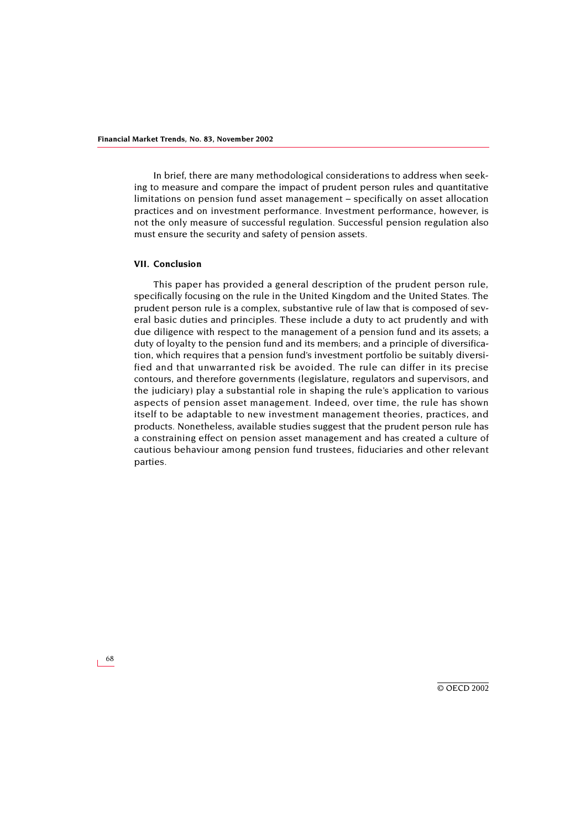In brief, there are many methodological considerations to address when seeking to measure and compare the impact of prudent person rules and quantitative limitations on pension fund asset management – specifically on asset allocation practices and on investment performance. Investment performance, however, is not the only measure of successful regulation. Successful pension regulation also must ensure the security and safety of pension assets.

#### **VII. Conclusion**

This paper has provided a general description of the prudent person rule, specifically focusing on the rule in the United Kingdom and the United States. The prudent person rule is a complex, substantive rule of law that is composed of several basic duties and principles. These include a duty to act prudently and with due diligence with respect to the management of a pension fund and its assets; a duty of loyalty to the pension fund and its members; and a principle of diversification, which requires that a pension fund's investment portfolio be suitably diversified and that unwarranted risk be avoided. The rule can differ in its precise contours, and therefore governments (legislature, regulators and supervisors, and the judiciary) play a substantial role in shaping the rule's application to various aspects of pension asset management. Indeed, over time, the rule has shown itself to be adaptable to new investment management theories, practices, and products. Nonetheless, available studies suggest that the prudent person rule has a constraining effect on pension asset management and has created a culture of cautious behaviour among pension fund trustees, fiduciaries and other relevant parties.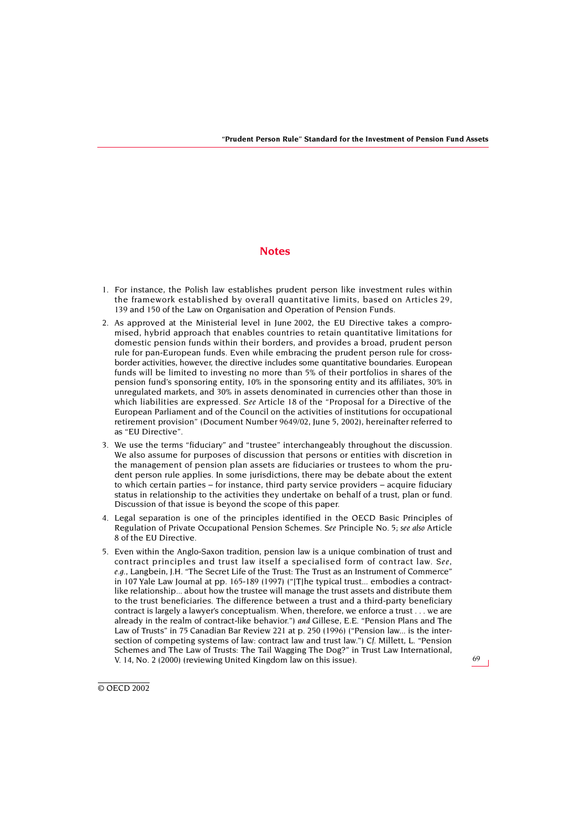## **Notes**

- <span id="page-29-0"></span>1. For instance, the Polish law establishes prudent person like investment rules within the framework established by overall quantitative limits, based on Articles 29, 139 and 150 of the Law on Organisation and Operation of Pension Funds.
- <span id="page-29-1"></span>2. As approved at the Ministerial level in June 2002, the EU Directive takes a compromised, hybrid approach that enables countries to retain quantitative limitations for domestic pension funds within their borders, and provides a broad, prudent person rule for pan-European funds. Even while embracing the prudent person rule for crossborder activities, however, the directive includes some quantitative boundaries. European funds will be limited to investing no more than 5% of their portfolios in shares of the pension fund's sponsoring entity, 10% in the sponsoring entity and its affiliates, 30% in unregulated markets, and 30% in assets denominated in currencies other than those in which liabilities are expressed. *See* Article 18 of the "Proposal for a Directive of the European Parliament and of the Council on the activities of institutions for occupational retirement provision" (Document Number 9649/02, June 5, 2002), hereinafter referred to as "EU Directive".
- <span id="page-29-2"></span>3. We use the terms "fiduciary" and "trustee" interchangeably throughout the discussion. We also assume for purposes of discussion that persons or entities with discretion in the management of pension plan assets are fiduciaries or trustees to whom the prudent person rule applies. In some jurisdictions, there may be debate about the extent to which certain parties – for instance, third party service providers – acquire fiduciary status in relationship to the activities they undertake on behalf of a trust, plan or fund. Discussion of that issue is beyond the scope of this paper.
- <span id="page-29-3"></span>4. Legal separation is one of the principles identified in the OECD Basic Principles of Regulation of Private Occupational Pension Schemes. *See* Principle No. 5; *see also* Article 8 of the EU Directive.
- <span id="page-29-4"></span>5. Even within the Anglo-Saxon tradition, pension law is a unique combination of trust and contract principles and trust law itself a specialised form of contract law. *See, e.g.,* Langbein, J.H. "The Secret Life of the Trust: The Trust as an Instrument of Commerce" in 107 Yale Law Journal at pp. 165-189 (1997) ("[T]he typical trust... embodies a contractlike relationship... about how the trustee will manage the trust assets and distribute them to the trust beneficiaries. The difference between a trust and a third-party beneficiary contract is largely a lawyer's conceptualism. When, therefore, we enforce a trust . . . we are already in the realm of contract-like behavior.") *and* Gillese, E.E. "Pension Plans and The Law of Trusts" in 75 Canadian Bar Review 221 at p. 250 (1996) ("Pension law... is the intersection of competing systems of law: contract law and trust law.") *Cf.* Millett, L. "Pension Schemes and The Law of Trusts: The Tail Wagging The Dog?" in Trust Law International, V. 14, No. 2 (2000) (reviewing United Kingdom law on this issue).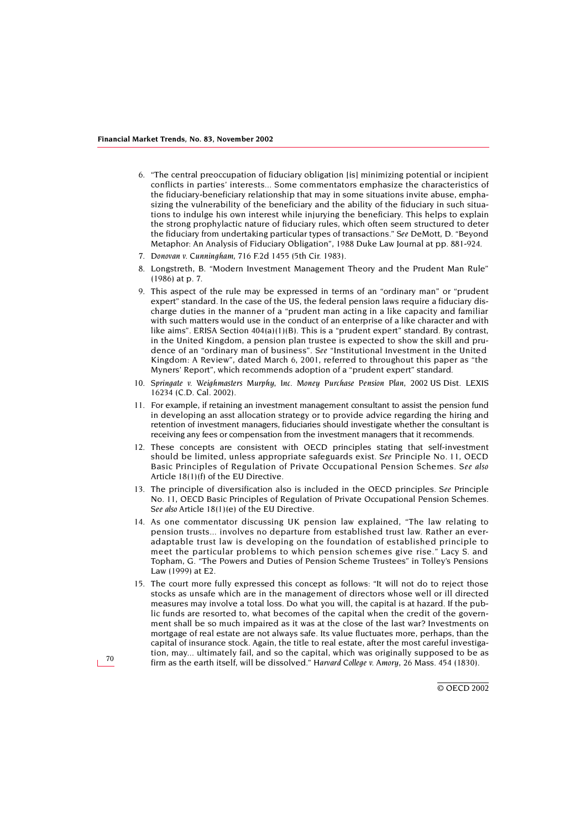- <span id="page-30-0"></span>6. "The central preoccupation of fiduciary obligation [is] minimizing potential or incipient conflicts in parties' interests... Some commentators emphasize the characteristics of the fiduciary-beneficiary relationship that may in some situations invite abuse, emphasizing the vulnerability of the beneficiary and the ability of the fiduciary in such situations to indulge his own interest while injurying the beneficiary. This helps to explain the strong prophylactic nature of fiduciary rules, which often seem structured to deter the fiduciary from undertaking particular types of transactions." *See* DeMott, D. "Beyond Metaphor: An Analysis of Fiduciary Obligation", 1988 Duke Law Journal at pp. 881-924.
- <span id="page-30-1"></span>7. *Donovan v. Cunningham*, 716 F.2d 1455 (5th Cir. 1983).
- <span id="page-30-2"></span>8. Longstreth, B. "Modern Investment Management Theory and the Prudent Man Rule" (1986) at p. 7.
- <span id="page-30-3"></span>9. This aspect of the rule may be expressed in terms of an "ordinary man" or "prudent expert" standard. In the case of the US, the federal pension laws require a fiduciary discharge duties in the manner of a "prudent man acting in a like capacity and familiar with such matters would use in the conduct of an enterprise of a like character and with like aims". ERISA Section  $404(a)(1)(B)$ . This is a "prudent expert" standard. By contrast, in the United Kingdom, a pension plan trustee is expected to show the skill and prudence of an "ordinary man of business". *See* "Institutional Investment in the United Kingdom: A Review", dated March 6, 2001, referred to throughout this paper as "the Myners' Report", which recommends adoption of a "prudent expert" standard.
- <span id="page-30-4"></span>10. *Springate v. Weighmasters Murphy, Inc. Money Purchase Pension Plan*, 2002 US Dist. LEXIS 16234 (C.D. Cal. 2002).
- <span id="page-30-5"></span>11. For example, if retaining an investment management consultant to assist the pension fund in developing an asst allocation strategy or to provide advice regarding the hiring and retention of investment managers, fiduciaries should investigate whether the consultant is receiving any fees or compensation from the investment managers that it recommends.
- <span id="page-30-6"></span>12. These concepts are consistent with OECD principles stating that self-investment should be limited, unless appropriate safeguards exist. *See* Principle No. 11, OECD Basic Principles of Regulation of Private Occupational Pension Schemes. *See also* Article 18(1)(f) of the EU Directive.
- <span id="page-30-7"></span>13. The principle of diversification also is included in the OECD principles. *See* Principle No. 11, OECD Basic Principles of Regulation of Private Occupational Pension Schemes. *See also* Article 18(1)(e) of the EU Directive.
- <span id="page-30-8"></span>14. As one commentator discussing UK pension law explained, "The law relating to pension trusts... involves no departure from established trust law. Rather an everadaptable trust law is developing on the foundation of established principle to meet the particular problems to which pension schemes give rise." Lacy S. and Topham, G. "The Powers and Duties of Pension Scheme Trustees" in Tolley's Pensions Law (1999) at E2.
- <span id="page-30-9"></span>15. The court more fully expressed this concept as follows: "It will not do to reject those stocks as unsafe which are in the management of directors whose well or ill directed measures may involve a total loss. Do what you will, the capital is at hazard. If the public funds are resorted to, what becomes of the capital when the credit of the government shall be so much impaired as it was at the close of the last war? Investments on mortgage of real estate are not always safe. Its value fluctuates more, perhaps, than the capital of insurance stock. Again, the title to real estate, after the most careful investigation, may... ultimately fail, and so the capital, which was originally supposed to be as firm as the earth itself, will be dissolved." *Harvard College v. Amory*, 26 Mass. 454 (1830).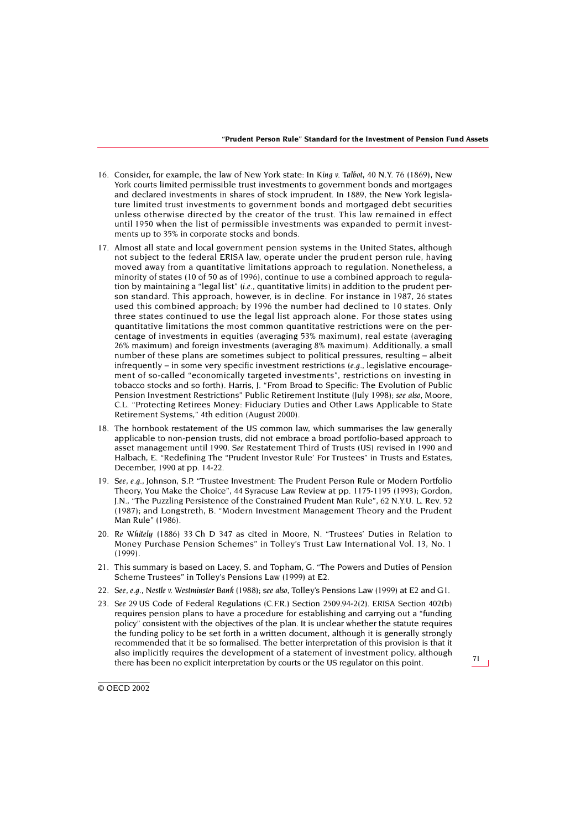- <span id="page-31-0"></span>16. Consider, for example, the law of New York state: In *King v. Talbot*, 40 N.Y. 76 (1869), New York courts limited permissible trust investments to government bonds and mortgages and declared investments in shares of stock imprudent. In 1889, the New York legislature limited trust investments to government bonds and mortgaged debt securities unless otherwise directed by the creator of the trust. This law remained in effect until 1950 when the list of permissible investments was expanded to permit investments up to 35% in corporate stocks and bonds.
- <span id="page-31-1"></span>17. Almost all state and local government pension systems in the United States, although not subject to the federal ERISA law, operate under the prudent person rule, having moved away from a quantitative limitations approach to regulation. Nonetheless, a minority of states (10 of 50 as of 1996), continue to use a combined approach to regulation by maintaining a "legal list" (*i.e.,* quantitative limits) in addition to the prudent person standard. This approach, however, is in decline. For instance in 1987, 26 states used this combined approach; by 1996 the number had declined to 10 states. Only three states continued to use the legal list approach alone. For those states using quantitative limitations the most common quantitative restrictions were on the percentage of investments in equities (averaging 53% maximum), real estate (averaging 26% maximum) and foreign investments (averaging 8% maximum). Additionally, a small number of these plans are sometimes subject to political pressures, resulting – albeit infrequently – in some very specific investment restrictions *(e.g.,* legislative encouragement of so-called "economically targeted investments", restrictions on investing in tobacco stocks and so forth). Harris, J. "From Broad to Specific: The Evolution of Public Pension Investment Restrictions" Public Retirement Institute (July 1998); *see also*, Moore, C.L. "Protecting Retirees Money: Fiduciary Duties and Other Laws Applicable to State Retirement Systems," 4th edition (August 2000).
- <span id="page-31-2"></span>18. The hornbook restatement of the US common law, which summarises the law generally applicable to non-pension trusts, did not embrace a broad portfolio-based approach to asset management until 1990. *See* Restatement Third of Trusts (US) revised in 1990 and Halbach, E. "Redefining The "Prudent Investor Rule' For Trustees" in Trusts and Estates, December, 1990 at pp. 14-22.
- <span id="page-31-3"></span>19. *See, e.g.,* Johnson, S.P. "Trustee Investment: The Prudent Person Rule or Modern Portfolio Theory, You Make the Choice", 44 Syracuse Law Review at pp. 1175-1195 (1993); Gordon, J.N., "The Puzzling Persistence of the Constrained Prudent Man Rule", 62 N.Y.U. L. Rev. 52 (1987); and Longstreth, B. "Modern Investment Management Theory and the Prudent Man Rule" (1986).
- <span id="page-31-4"></span>20. *Re Whitely* (1886) 33 Ch D 347 as cited in Moore, N. "Trustees' Duties in Relation to Money Purchase Pension Schemes" in Tolley's Trust Law International Vol. 13, No. 1 (1999).
- <span id="page-31-5"></span>21. This summary is based on Lacey, S. and Topham, G. "The Powers and Duties of Pension Scheme Trustees" in Tolley's Pensions Law (1999) at E2.
- <span id="page-31-6"></span>22. *See, e.g., Nestle v. Westminster Bank* (1988); s*ee also,* Tolley's Pensions Law (1999) at E2 and G1.
- <span id="page-31-7"></span>23. *See* 29 US Code of Federal Regulations (C.F.R.) Section 2509.94-2(2). ERISA Section 402(b) requires pension plans to have a procedure for establishing and carrying out a "funding policy" consistent with the objectives of the plan. It is unclear whether the statute requires the funding policy to be set forth in a written document, although it is generally strongly recommended that it be so formalised. The better interpretation of this provision is that it also implicitly requires the development of a statement of investment policy, although there has been no explicit interpretation by courts or the US regulator on this point.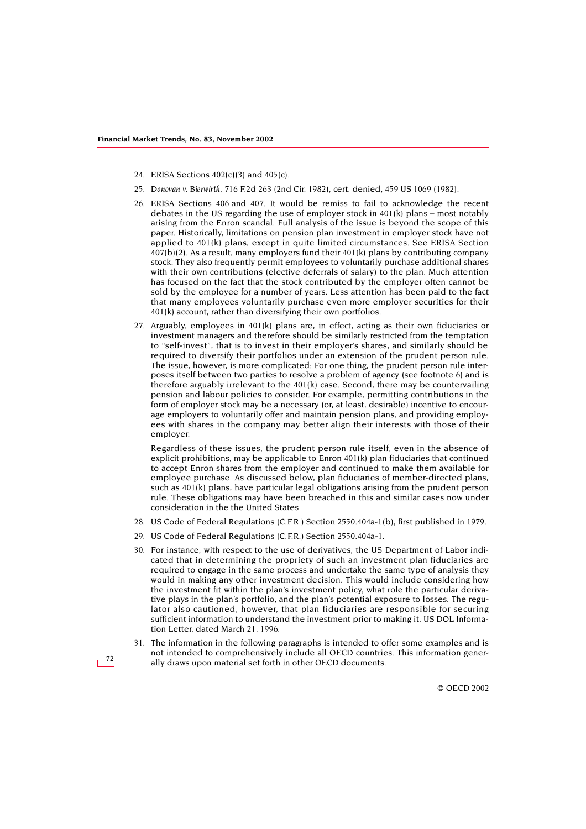- <span id="page-32-0"></span>24. ERISA Sections 402(c)(3) and 405(c).
- <span id="page-32-1"></span>25. *Donovan v. Bierwirth*, 716 F.2d 263 (2nd Cir. 1982), cert. denied, 459 US 1069 (1982).
- <span id="page-32-2"></span>26. ERISA Sections 406 and 407. It would be remiss to fail to acknowledge the recent debates in the US regarding the use of employer stock in 401(k) plans – most notably arising from the Enron scandal. Full analysis of the issue is beyond the scope of this paper. Historically, limitations on pension plan investment in employer stock have not applied to 401(k) plans, except in quite limited circumstances. See ERISA Section 407(b)(2). As a result, many employers fund their 401(k) plans by contributing company stock. They also frequently permit employees to voluntarily purchase additional shares with their own contributions (elective deferrals of salary) to the plan. Much attention has focused on the fact that the stock contributed by the employer often cannot be sold by the employee for a number of years. Less attention has been paid to the fact that many employees voluntarily purchase even more employer securities for their 401(k) account, rather than diversifying their own portfolios.
- 27. Arguably, employees in 401(k) plans are, in effect, acting as their own fiduciaries or investment managers and therefore should be similarly restricted from the temptation to "self-invest", that is to invest in their employer's shares, and similarly should be required to diversify their portfolios under an extension of the prudent person rule. The issue, however, is more complicated: For one thing, the prudent person rule interposes itself between two parties to resolve a problem of agency (see footnote 6) and is therefore arguably irrelevant to the 401(k) case. Second, there may be countervailing pension and labour policies to consider. For example, permitting contributions in the form of employer stock may be a necessary (or, at least, desirable) incentive to encourage employers to voluntarily offer and maintain pension plans, and providing employees with shares in the company may better align their interests with those of their employer.

Regardless of these issues, the prudent person rule itself, even in the absence of explicit prohibitions, may be applicable to Enron 401(k) plan fiduciaries that continued to accept Enron shares from the employer and continued to make them available for employee purchase. As discussed below, plan fiduciaries of member-directed plans, such as 401(k) plans, have particular legal obligations arising from the prudent person rule. These obligations may have been breached in this and similar cases now under consideration in the the United States.

- <span id="page-32-3"></span>28. US Code of Federal Regulations (C.F.R.) Section 2550.404a-1(b), first published in 1979.
- <span id="page-32-4"></span>29. US Code of Federal Regulations (C.F.R.) Section 2550.404a-1.
- <span id="page-32-5"></span>30. For instance, with respect to the use of derivatives, the US Department of Labor indicated that in determining the propriety of such an investment plan fiduciaries are required to engage in the same process and undertake the same type of analysis they would in making any other investment decision. This would include considering how the investment fit within the plan's investment policy, what role the particular derivative plays in the plan's portfolio, and the plan's potential exposure to losses. The regulator also cautioned, however, that plan fiduciaries are responsible for securing sufficient information to understand the investment prior to making it. US DOL Information Letter, dated March 21, 1996.
- <span id="page-32-6"></span>31. The information in the following paragraphs is intended to offer some examples and is not intended to comprehensively include all OECD countries. This information generally draws upon material set forth in other OECD documents.

72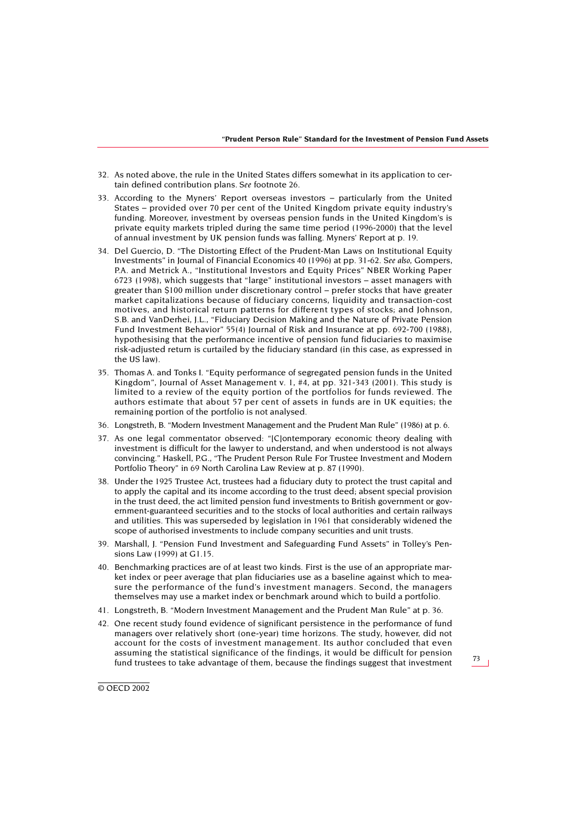- <span id="page-33-0"></span>32. As noted above, the rule in the United States differs somewhat in its application to certain defined contribution plans. *See* footnote 26.
- <span id="page-33-1"></span>33. According to the Myners' Report overseas investors – particularly from the United States – provided over 70 per cent of the United Kingdom private equity industry's funding. Moreover, investment by overseas pension funds in the United Kingdom's is private equity markets tripled during the same time period (1996-2000) that the level of annual investment by UK pension funds was falling. Myners' Report at p. 19.
- <span id="page-33-2"></span>34. Del Guercio, D. "The Distorting Effect of the Prudent-Man Laws on Institutional Equity Investments" in Journal of Financial Economics 40 (1996) at pp. 31-62. *See also*, Gompers, P.A. and Metrick A., "Institutional Investors and Equity Prices" NBER Working Paper 6723 (1998), which suggests that "large" institutional investors – asset managers with greater than \$100 million under discretionary control – prefer stocks that have greater market capitalizations because of fiduciary concerns, liquidity and transaction-cost motives, and historical return patterns for different types of stocks; and Johnson, S.B. and VanDerhei, J.L., "Fiduciary Decision Making and the Nature of Private Pension Fund Investment Behavior" 55(4) Journal of Risk and Insurance at pp. 692-700 (1988), hypothesising that the performance incentive of pension fund fiduciaries to maximise risk-adjusted return is curtailed by the fiduciary standard (in this case, as expressed in the US law).
- <span id="page-33-3"></span>35. Thomas A. and Tonks I. "Equity performance of segregated pension funds in the United Kingdom", Journal of Asset Management v. 1, #4, at pp. 321-343 (2001). This study is limited to a review of the equity portion of the portfolios for funds reviewed. The authors estimate that about 57 per cent of assets in funds are in UK equities; the remaining portion of the portfolio is not analysed.
- <span id="page-33-4"></span>36. Longstreth, B. "Modern Investment Management and the Prudent Man Rule" (1986) at p. 6.
- <span id="page-33-5"></span>37. As one legal commentator observed: "[C]ontemporary economic theory dealing with investment is difficult for the lawyer to understand, and when understood is not always convincing." Haskell, P.G., "The Prudent Person Rule For Trustee Investment and Modern Portfolio Theory" in 69 North Carolina Law Review at p. 87 (1990).
- <span id="page-33-6"></span>38. Under the 1925 Trustee Act, trustees had a fiduciary duty to protect the trust capital and to apply the capital and its income according to the trust deed; absent special provision in the trust deed, the act limited pension fund investments to British government or government-guaranteed securities and to the stocks of local authorities and certain railways and utilities. This was superseded by legislation in 1961 that considerably widened the scope of authorised investments to include company securities and unit trusts.
- <span id="page-33-7"></span>39. Marshall, J. "Pension Fund Investment and Safeguarding Fund Assets" in Tolley's Pensions Law (1999) at G1.15.
- <span id="page-33-8"></span>40. Benchmarking practices are of at least two kinds. First is the use of an appropriate market index or peer average that plan fiduciaries use as a baseline against which to measure the performance of the fund's investment managers. Second, the managers themselves may use a market index or benchmark around which to build a portfolio.
- <span id="page-33-9"></span>41. Longstreth, B. "Modern Investment Management and the Prudent Man Rule" at p. 36.
- <span id="page-33-10"></span>42. One recent study found evidence of significant persistence in the performance of fund managers over relatively short (one-year) time horizons. The study, however, did not account for the costs of investment management. Its author concluded that even assuming the statistical significance of the findings, it would be difficult for pension fund trustees to take advantage of them, because the findings suggest that investment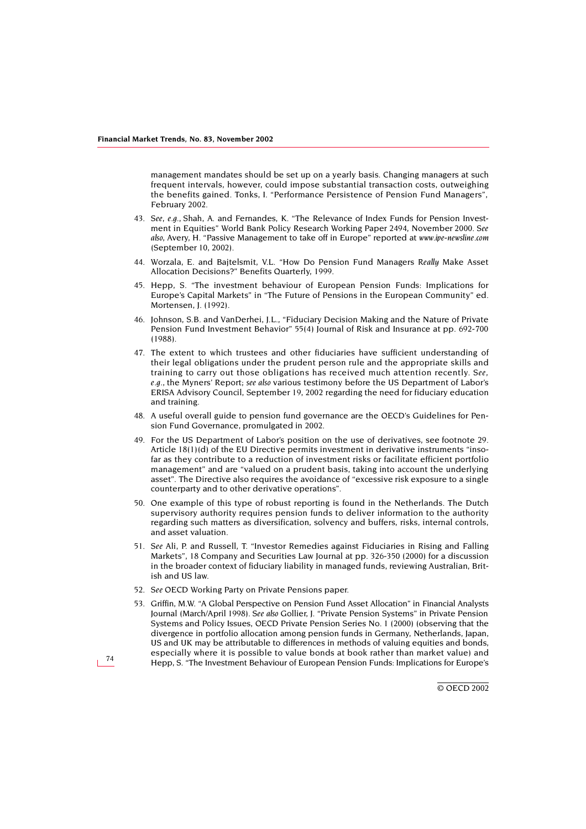management mandates should be set up on a yearly basis. Changing managers at such frequent intervals, however, could impose substantial transaction costs, outweighing the benefits gained. Tonks, I. "Performance Persistence of Pension Fund Managers", February 2002.

- <span id="page-34-0"></span>43. *See, e.g.,* Shah, A. and Fernandes, K. "The Relevance of Index Funds for Pension Investment in Equities" World Bank Policy Research Working Paper 2494, November 2000. *See also*, Avery, H. "Passive Management to take off in Europe" reported at *www.ipe-newsline.com* (September 10, 2002).
- <span id="page-34-1"></span>44. Worzala, E. and Bajtelsmit, V.L. "How Do Pension Fund Managers *Really* Make Asset Allocation Decisions?" Benefits Quarterly, 1999.
- <span id="page-34-2"></span>45. Hepp, S. "The investment behaviour of European Pension Funds: Implications for Europe's Capital Markets" in "The Future of Pensions in the European Community" ed. Mortensen, J. (1992).
- <span id="page-34-3"></span>46. Johnson, S.B. and VanDerhei, J.L., "Fiduciary Decision Making and the Nature of Private Pension Fund Investment Behavior" 55(4) Journal of Risk and Insurance at pp. 692-700 (1988).
- <span id="page-34-4"></span>47. The extent to which trustees and other fiduciaries have sufficient understanding of their legal obligations under the prudent person rule and the appropriate skills and training to carry out those obligations has received much attention recently. *See, e.g.,* the Myners' Report; *see also* various testimony before the US Department of Labor's ERISA Advisory Council, September 19, 2002 regarding the need for fiduciary education and training.
- <span id="page-34-5"></span>48. A useful overall guide to pension fund governance are the OECD's Guidelines for Pension Fund Governance, promulgated in 2002.
- <span id="page-34-6"></span>49. For the US Department of Labor's position on the use of derivatives, see footnote 29. Article 18(1)(d) of the EU Directive permits investment in derivative instruments "insofar as they contribute to a reduction of investment risks or facilitate efficient portfolio management" and are "valued on a prudent basis, taking into account the underlying asset". The Directive also requires the avoidance of "excessive risk exposure to a single counterparty and to other derivative operations".
- <span id="page-34-7"></span>50. One example of this type of robust reporting is found in the Netherlands. The Dutch supervisory authority requires pension funds to deliver information to the authority regarding such matters as diversification, solvency and buffers, risks, internal controls, and asset valuation.
- <span id="page-34-8"></span>51. *See* Ali, P. and Russell, T. "Investor Remedies against Fiduciaries in Rising and Falling Markets", 18 Company and Securities Law Journal at pp. 326-350 (2000) for a discussion in the broader context of fiduciary liability in managed funds, reviewing Australian, British and US law.
- <span id="page-34-9"></span>52. *See* OECD Working Party on Private Pensions paper.
- <span id="page-34-10"></span>53. Griffin, M.W. "A Global Perspective on Pension Fund Asset Allocation" in Financial Analysts Journal (March/April 1998). *See also* Gollier, J. "Private Pension Systems" in Private Pension Systems and Policy Issues, OECD Private Pension Series No. 1 (2000) (observing that the divergence in portfolio allocation among pension funds in Germany, Netherlands, Japan, US and UK may be attributable to differences in methods of valuing equities and bonds, especially where it is possible to value bonds at book rather than market value) and Hepp, S. "The Investment Behaviour of European Pension Funds: *I*mplications for Europe's